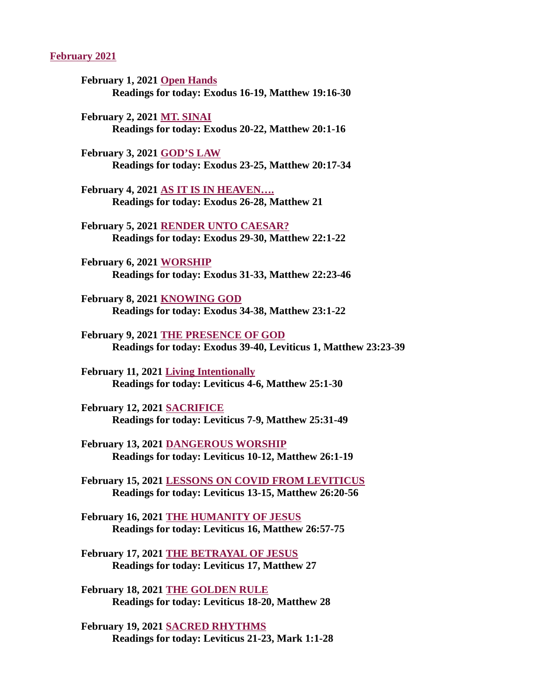#### February 2021

- February 1, 2021 Open Hands [Readings for today: Exodus 16-19, Matthew 19:16-30](#page-2-0)
- February 2, 2021 MT. SINAI [Readings for today: Exodus 20-22, Matthew 20:1-16](#page-3-0)
- February 3, 2021 GOD'S LAW [Readings for today: Exodus 23-25, Matthew 20:17-34](#page-4-0)
- February 4, 2021 AS IT IS IN HEAVEN…. [Readings for today: Exodus 26-28, Matthew 21](#page-6-0)
- February 5, 2021 RENDER UNTO CAESAR? [Readings for today: Exodus 29-30, Matthew 22:1-22](#page-7-0)
- February 6, 2021 WORSHIP [Readings for today: Exodus 31-33, Matthew 22:23-46](#page-8-0)
- February 8, 2021 KNOWING GOD [Readings for today: Exodus 34-38, Matthew 23:1-22](#page-10-0)
- February 9, 2021 THE PRESENCE OF GOD [Readings for today: Exodus 39-40, Leviticus 1, Matthew 23:23-39](#page-11-0)
- February 11, 2021 Living Intentionally [Readings for today: Leviticus 4-6, Matthew 25:1-30](#page-13-0)
- February 12, 2021 SACRIFICE [Readings for today: Leviticus 7-9, Matthew 25:31-49](#page-14-0)
- February 13, 2021 DANGEROUS WORSHIP [Readings for today: Leviticus 10-12, Matthew 26:1-19](#page-15-0)
- [February 15, 2021 LESSONS ON COVID FROM LEVITICUS](#page-17-0) Readings for today: Leviticus 13-15, Matthew 26:20-56
- February 16, 2021 THE HUMANITY OF JESUS [Readings for today: Leviticus 16, Matthew 26:57-75](#page-19-0)
- [February 17, 2021 THE BETRAYAL OF JESUS](#page-20-0) Readings for today: Leviticus 17, Matthew 27
- February 18, 2021 THE GOLDEN RULE [Readings for today: Leviticus 18-20, Matthew 28](#page-21-0)
- February 19, 2021 SACRED RHYTHMS [Readings for today: Leviticus 21-23, Mark 1:1-28](#page-22-0)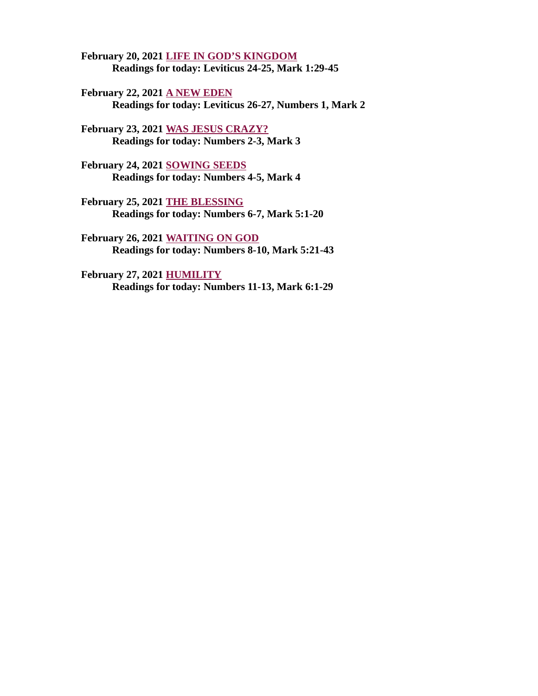February 20, 2021 LIFE IN GOD'S KINGDOM [Readings for today: Leviticus 24-25, Mark 1:29-45](#page-23-0)

February 22, 2021 A NEW EDEN [Readings for today: Leviticus 26-27, Numbers 1, Mark 2](#page-24-0)

February 23, 2021 WAS JESUS CRAZY? [Readings for today: Numbers 2-3, Mark 3](#page-26-0)

February 24, 2021 SOWING SEEDS [Readings for today: Numbers 4-5, Mark 4](#page-27-0)

February 25, 2021 THE BLESSING [Readings for today: Numbers 6-7, Mark 5:1-20](#page-28-0)

February 26, 2021 WAITING ON GOD [Readings for today: Numbers 8-10, Mark 5:21-43](#page-29-0)

February 27, 2021 HUMILITY [Readings for today: Numbers 11-13, Mark 6:1-29](#page-31-0)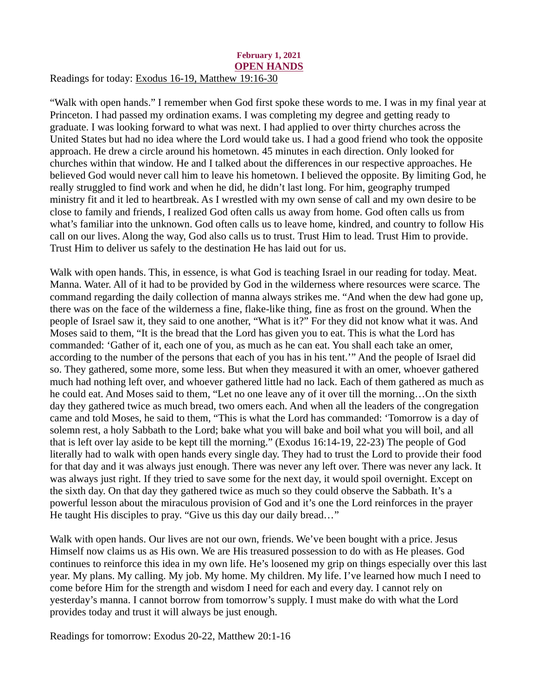#### <span id="page-2-0"></span>February 1, 2021 OPEN HANDS Readings for today: [Exodus 16-19, Matthew 19:16-30](https://www.biblegateway.com/passage/?search=Exodus+16-19%2C+Matthew+19%3A16-30&version=ESV)

"Walk with open hands." I remember when God first spoke these words to me. I was in my final year at Princeton. I had passed my ordination exams. I was completing my degree and getting ready to graduate. I was looking forward to what was next. I had applied to over thirty churches across the United States but had no idea where the Lord would take us. I had a good friend who took the opposite approach. He drew a circle around his hometown. 45 minutes in each direction. Only looked for churches within that window. He and I talked about the differences in our respective approaches. He believed God would never call him to leave his hometown. I believed the opposite. By limiting God, he really struggled to find work and when he did, he didn't last long. For him, geography trumped ministry fit and it led to heartbreak. As I wrestled with my own sense of call and my own desire to be close to family and friends, I realized God often calls us away from home. God often calls us from what's familiar into the unknown. God often calls us to leave home, kindred, and country to follow His call on our lives. Along the way, God also calls us to trust. Trust Him to lead. Trust Him to provide. Trust Him to deliver us safely to the destination He has laid out for us.

Walk with open hands. This, in essence, is what God is teaching Israel in our reading for today. Meat. Manna. Water. All of it had to be provided by God in the wilderness where resources were scarce. The command regarding the daily collection of manna always strikes me. "And when the dew had gone up, there was on the face of the wilderness a fine, flake-like thing, fine as frost on the ground. When the people of Israel saw it, they said to one another, "What is it?" For they did not know what it was. And Moses said to them, "It is the bread that the Lord has given you to eat. This is what the Lord has commanded: 'Gather of it, each one of you, as much as he can eat. You shall each take an omer, according to the number of the persons that each of you has in his tent.'" And the people of Israel did so. They gathered, some more, some less. But when they measured it with an omer, whoever gathered much had nothing left over, and whoever gathered little had no lack. Each of them gathered as much as he could eat. And Moses said to them, "Let no one leave any of it over till the morning…On the sixth day they gathered twice as much bread, two omers each. And when all the leaders of the congregation came and told Moses, he said to them, "This is what the Lord has commanded: 'Tomorrow is a day of solemn rest, a holy Sabbath to the Lord; bake what you will bake and boil what you will boil, and all that is left over lay aside to be kept till the morning." (Exodus 16:14-19, 22-23) The people of God literally had to walk with open hands every single day. They had to trust the Lord to provide their food for that day and it was always just enough. There was never any left over. There was never any lack. It was always just right. If they tried to save some for the next day, it would spoil overnight. Except on the sixth day. On that day they gathered twice as much so they could observe the Sabbath. It's a powerful lesson about the miraculous provision of God and it's one the Lord reinforces in the prayer He taught His disciples to pray. "Give us this day our daily bread…"

Walk with open hands. Our lives are not our own, friends. We've been bought with a price. Jesus Himself now claims us as His own. We are His treasured possession to do with as He pleases. God continues to reinforce this idea in my own life. He's loosened my grip on things especially over this last year. My plans. My calling. My job. My home. My children. My life. I've learned how much I need to come before Him for the strength and wisdom I need for each and every day. I cannot rely on yesterday's manna. I cannot borrow from tomorrow's supply. I must make do with what the Lord provides today and trust it will always be just enough.

Readings for tomorrow: Exodus 20-22, Matthew 20:1-16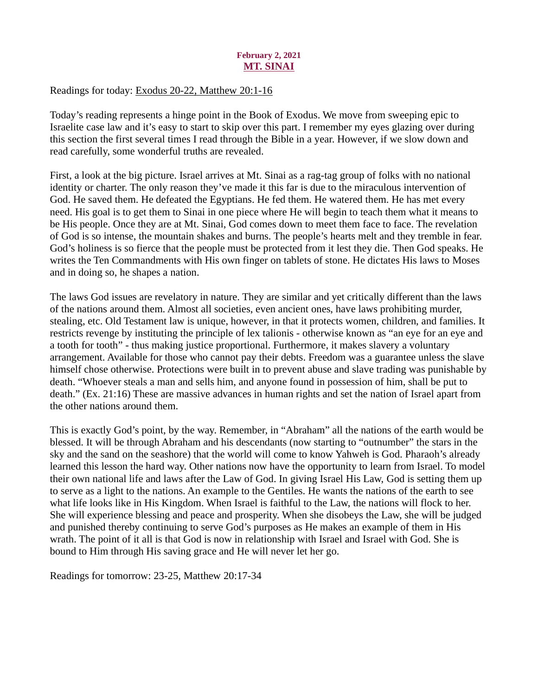# February 2, 2021 MT. SINAI

<span id="page-3-0"></span>Readings for today: [Exodus 20-22, Matthew 20:1-16](https://www.biblegateway.com/passage/?search=Exodus+20-22%2C+Matthew+20%3A1-16&version=ESV)

Today's reading represents a hinge point in the Book of Exodus. We move from sweeping epic to Israelite case law and it's easy to start to skip over this part. I remember my eyes glazing over during this section the first several times I read through the Bible in a year. However, if we slow down and read carefully, some wonderful truths are revealed.

First, a look at the big picture. Israel arrives at Mt. Sinai as a rag-tag group of folks with no national identity or charter. The only reason they've made it this far is due to the miraculous intervention of God. He saved them. He defeated the Egyptians. He fed them. He watered them. He has met every need. His goal is to get them to Sinai in one piece where He will begin to teach them what it means to be His people. Once they are at Mt. Sinai, God comes down to meet them face to face. The revelation of God is so intense, the mountain shakes and burns. The people's hearts melt and they tremble in fear. God's holiness is so fierce that the people must be protected from it lest they die. Then God speaks. He writes the Ten Commandments with His own finger on tablets of stone. He dictates His laws to Moses and in doing so, he shapes a nation.

The laws God issues are revelatory in nature. They are similar and yet critically different than the laws of the nations around them. Almost all societies, even ancient ones, have laws prohibiting murder, stealing, etc. Old Testament law is unique, however, in that it protects women, children, and families. It restricts revenge by instituting the principle of lex talionis - otherwise known as "an eye for an eye and a tooth for tooth" - thus making justice proportional. Furthermore, it makes slavery a voluntary arrangement. Available for those who cannot pay their debts. Freedom was a guarantee unless the slave himself chose otherwise. Protections were built in to prevent abuse and slave trading was punishable by death. "Whoever steals a man and sells him, and anyone found in possession of him, shall be put to death." (Ex. 21:16) These are massive advances in human rights and set the nation of Israel apart from the other nations around them.

This is exactly God's point, by the way. Remember, in "Abraham" all the nations of the earth would be blessed. It will be through Abraham and his descendants (now starting to "outnumber" the stars in the sky and the sand on the seashore) that the world will come to know Yahweh is God. Pharaoh's already learned this lesson the hard way. Other nations now have the opportunity to learn from Israel. To model their own national life and laws after the Law of God. In giving Israel His Law, God is setting them up to serve as a light to the nations. An example to the Gentiles. He wants the nations of the earth to see what life looks like in His Kingdom. When Israel is faithful to the Law, the nations will flock to her. She will experience blessing and peace and prosperity. When she disobeys the Law, she will be judged and punished thereby continuing to serve God's purposes as He makes an example of them in His wrath. The point of it all is that God is now in relationship with Israel and Israel with God. She is bound to Him through His saving grace and He will never let her go.

Readings for tomorrow: 23-25, Matthew 20:17-34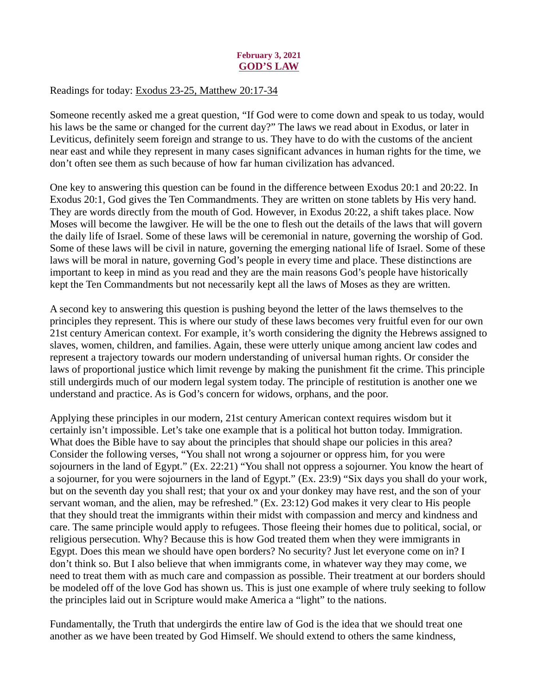# February 3, 2021 GOD'S LAW

## <span id="page-4-0"></span>Readings for today[: Exodus 23-25, Matthew 20:17-34](https://www.biblegateway.com/passage/?search=Exodus+23-25%2C+Matthew+20%3A17-34&version=ESV)

Someone recently asked me a great question, "If God were to come down and speak to us today, would his laws be the same or changed for the current day?" The laws we read about in Exodus, or later in Leviticus, definitely seem foreign and strange to us. They have to do with the customs of the ancient near east and while they represent in many cases significant advances in human rights for the time, we don't often see them as such because of how far human civilization has advanced.

One key to answering this question can be found in the difference between Exodus 20:1 and 20:22. In Exodus 20:1, God gives the Ten Commandments. They are written on stone tablets by His very hand. They are words directly from the mouth of God. However, in Exodus 20:22, a shift takes place. Now Moses will become the lawgiver. He will be the one to flesh out the details of the laws that will govern the daily life of Israel. Some of these laws will be ceremonial in nature, governing the worship of God. Some of these laws will be civil in nature, governing the emerging national life of Israel. Some of these laws will be moral in nature, governing God's people in every time and place. These distinctions are important to keep in mind as you read and they are the main reasons God's people have historically kept the Ten Commandments but not necessarily kept all the laws of Moses as they are written.

A second key to answering this question is pushing beyond the letter of the laws themselves to the principles they represent. This is where our study of these laws becomes very fruitful even for our own 21st century American context. For example, it's worth considering the dignity the Hebrews assigned to slaves, women, children, and families. Again, these were utterly unique among ancient law codes and represent a trajectory towards our modern understanding of universal human rights. Or consider the laws of proportional justice which limit revenge by making the punishment fit the crime. This principle still undergirds much of our modern legal system today. The principle of restitution is another one we understand and practice. As is God's concern for widows, orphans, and the poor.

Applying these principles in our modern, 21st century American context requires wisdom but it certainly isn't impossible. Let's take one example that is a political hot button today. Immigration. What does the Bible have to say about the principles that should shape our policies in this area? Consider the following verses, "You shall not wrong a sojourner or oppress him, for you were sojourners in the land of Egypt." (Ex. 22:21) "You shall not oppress a sojourner. You know the heart of a sojourner, for you were sojourners in the land of Egypt." (Ex. 23:9) "Six days you shall do your work, but on the seventh day you shall rest; that your ox and your donkey may have rest, and the son of your servant woman, and the alien, may be refreshed." (Ex. 23:12) God makes it very clear to His people that they should treat the immigrants within their midst with compassion and mercy and kindness and care. The same principle would apply to refugees. Those fleeing their homes due to political, social, or religious persecution. Why? Because this is how God treated them when they were immigrants in Egypt. Does this mean we should have open borders? No security? Just let everyone come on in? I don't think so. But I also believe that when immigrants come, in whatever way they may come, we need to treat them with as much care and compassion as possible. Their treatment at our borders should be modeled off of the love God has shown us. This is just one example of where truly seeking to follow the principles laid out in Scripture would make America a "light" to the nations.

Fundamentally, the Truth that undergirds the entire law of God is the idea that we should treat one another as we have been treated by God Himself. We should extend to others the same kindness,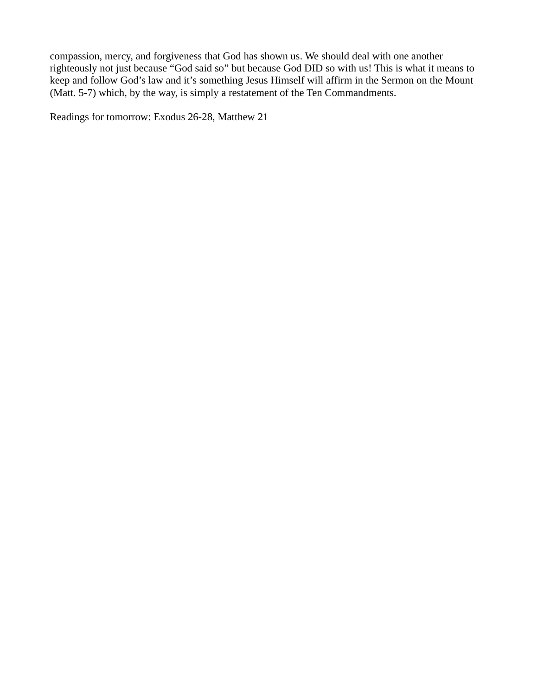compassion, mercy, and forgiveness that God has shown us. We should deal with one another righteously not just because "God said so" but because God DID so with us! This is what it means to keep and follow God's law and it's something Jesus Himself will affirm in the Sermon on the Mount (Matt. 5-7) which, by the way, is simply a restatement of the Ten Commandments.

Readings for tomorrow: Exodus 26-28, Matthew 21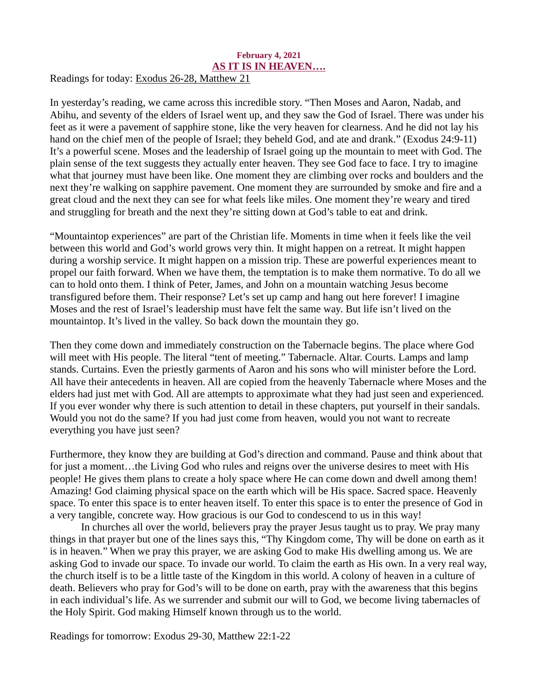#### <span id="page-6-0"></span>February 4, 2021 AS IT IS IN HEAVEN…. Readings for today[: Exodus 26-28, Matthew 21](https://www.biblegateway.com/passage/?search=Exodus+26-28%2C+Matthew+21&version=ESV)

In yesterday's reading, we came across this incredible story. "Then Moses and Aaron, Nadab, and Abihu, and seventy of the elders of Israel went up, and they saw the God of Israel. There was under his feet as it were a pavement of sapphire stone, like the very heaven for clearness. And he did not lay his hand on the chief men of the people of Israel; they beheld God, and ate and drank." (Exodus 24:9-11) It's a powerful scene. Moses and the leadership of Israel going up the mountain to meet with God. The plain sense of the text suggests they actually enter heaven. They see God face to face. I try to imagine what that journey must have been like. One moment they are climbing over rocks and boulders and the next they're walking on sapphire pavement. One moment they are surrounded by smoke and fire and a great cloud and the next they can see for what feels like miles. One moment they're weary and tired and struggling for breath and the next they're sitting down at God's table to eat and drink.

"Mountaintop experiences" are part of the Christian life. Moments in time when it feels like the veil between this world and God's world grows very thin. It might happen on a retreat. It might happen during a worship service. It might happen on a mission trip. These are powerful experiences meant to propel our faith forward. When we have them, the temptation is to make them normative. To do all we can to hold onto them. I think of Peter, James, and John on a mountain watching Jesus become transfigured before them. Their response? Let's set up camp and hang out here forever! I imagine Moses and the rest of Israel's leadership must have felt the same way. But life isn't lived on the mountaintop. It's lived in the valley. So back down the mountain they go.

Then they come down and immediately construction on the Tabernacle begins. The place where God will meet with His people. The literal "tent of meeting." Tabernacle. Altar. Courts. Lamps and lamp stands. Curtains. Even the priestly garments of Aaron and his sons who will minister before the Lord. All have their antecedents in heaven. All are copied from the heavenly Tabernacle where Moses and the elders had just met with God. All are attempts to approximate what they had just seen and experienced. If you ever wonder why there is such attention to detail in these chapters, put yourself in their sandals. Would you not do the same? If you had just come from heaven, would you not want to recreate everything you have just seen?

Furthermore, they know they are building at God's direction and command. Pause and think about that for just a moment…the Living God who rules and reigns over the universe desires to meet with His people! He gives them plans to create a holy space where He can come down and dwell among them! Amazing! God claiming physical space on the earth which will be His space. Sacred space. Heavenly space. To enter this space is to enter heaven itself. To enter this space is to enter the presence of God in a very tangible, concrete way. How gracious is our God to condescend to us in this way!

In churches all over the world, believers pray the prayer Jesus taught us to pray. We pray many things in that prayer but one of the lines says this, "Thy Kingdom come, Thy will be done on earth as it is in heaven." When we pray this prayer, we are asking God to make His dwelling among us. We are asking God to invade our space. To invade our world. To claim the earth as His own. In a very real way, the church itself is to be a little taste of the Kingdom in this world. A colony of heaven in a culture of death. Believers who pray for God's will to be done on earth, pray with the awareness that this begins in each individual's life. As we surrender and submit our will to God, we become living tabernacles of the Holy Spirit. God making Himself known through us to the world.

Readings for tomorrow: Exodus 29-30, Matthew 22:1-22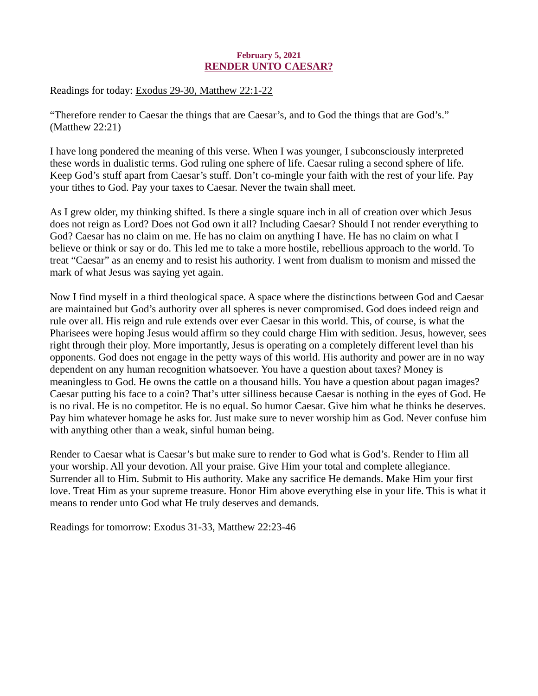# February 5, 2021 RENDER UNTO CAESAR?

<span id="page-7-0"></span>Readings for today: [Exodus 29-30, Matthew 22:1-22](https://www.biblegateway.com/passage/?search=Exodus+29-30%2C+Matthew+22%3A1-22&version=ESV)

"Therefore render to Caesar the things that are Caesar's, and to God the things that are God's." (Matthew 22:21)

I have long pondered the meaning of this verse. When I was younger, I subconsciously interpreted these words in dualistic terms. God ruling one sphere of life. Caesar ruling a second sphere of life. Keep God's stuff apart from Caesar's stuff. Don't co-mingle your faith with the rest of your life. Pay your tithes to God. Pay your taxes to Caesar. Never the twain shall meet.

As I grew older, my thinking shifted. Is there a single square inch in all of creation over which Jesus does not reign as Lord? Does not God own it all? Including Caesar? Should I not render everything to God? Caesar has no claim on me. He has no claim on anything I have. He has no claim on what I believe or think or say or do. This led me to take a more hostile, rebellious approach to the world. To treat "Caesar" as an enemy and to resist his authority. I went from dualism to monism and missed the mark of what Jesus was saying yet again.

Now I find myself in a third theological space. A space where the distinctions between God and Caesar are maintained but God's authority over all spheres is never compromised. God does indeed reign and rule over all. His reign and rule extends over ever Caesar in this world. This, of course, is what the Pharisees were hoping Jesus would affirm so they could charge Him with sedition. Jesus, however, sees right through their ploy. More importantly, Jesus is operating on a completely different level than his opponents. God does not engage in the petty ways of this world. His authority and power are in no way dependent on any human recognition whatsoever. You have a question about taxes? Money is meaningless to God. He owns the cattle on a thousand hills. You have a question about pagan images? Caesar putting his face to a coin? That's utter silliness because Caesar is nothing in the eyes of God. He is no rival. He is no competitor. He is no equal. So humor Caesar. Give him what he thinks he deserves. Pay him whatever homage he asks for. Just make sure to never worship him as God. Never confuse him with anything other than a weak, sinful human being.

Render to Caesar what is Caesar's but make sure to render to God what is God's. Render to Him all your worship. All your devotion. All your praise. Give Him your total and complete allegiance. Surrender all to Him. Submit to His authority. Make any sacrifice He demands. Make Him your first love. Treat Him as your supreme treasure. Honor Him above everything else in your life. This is what it means to render unto God what He truly deserves and demands.

Readings for tomorrow: Exodus 31-33, Matthew 22:23-46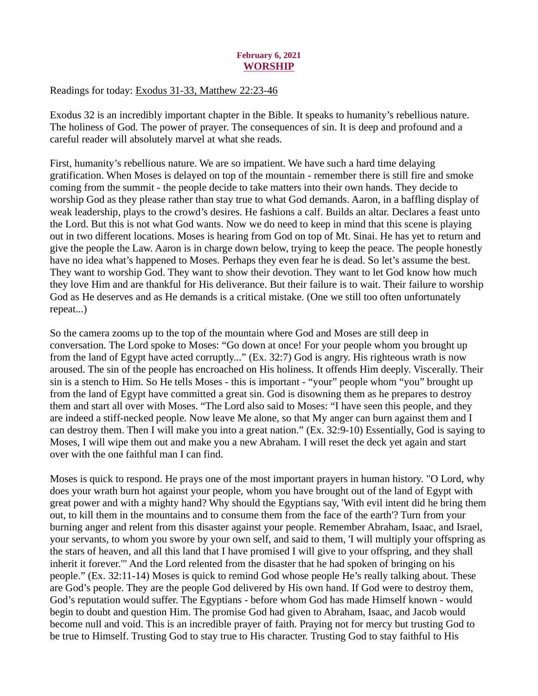## February 6, 2021 **WORSHIP**

<span id="page-8-0"></span>Readings for today[: Exodus 31-33, Matthew 22:23-46](https://www.biblegateway.com/passage/?search=Exodus+31-33%2C+Matthew+22%3A23-46&version=ESV)

Exodus 32 is an incredibly important chapter in the Bible. It speaks to humanity's rebellious nature. The holiness of God. The power of prayer. The consequences of sin. It is deep and profound and a careful reader will absolutely marvel at what she reads.

First, humanity's rebellious nature. We are so impatient. We have such a hard time delaying gratification. When Moses is delayed on top of the mountain - remember there is still fire and smoke coming from the summit - the people decide to take matters into their own hands. They decide to worship God as they please rather than stay true to what God demands. Aaron, in a baffling display of weak leadership, plays to the crowd's desires. He fashions a calf. Builds an altar. Declares a feast unto the Lord. But this is not what God wants. Now we do need to keep in mind that this scene is playing out in two different locations. Moses is hearing from God on top of Mt. Sinai. He has yet to return and give the people the Law. Aaron is in charge down below, trying to keep the peace. The people honestly have no idea what's happened to Moses. Perhaps they even fear he is dead. So let's assume the best. They want to worship God. They want to show their devotion. They want to let God know how much they love Him and are thankful for His deliverance. But their failure is to wait. Their failure to worship God as He deserves and as He demands is a critical mistake. (One we still too often unfortunately repeat...)

So the camera zooms up to the top of the mountain where God and Moses are still deep in conversation. The Lord spoke to Moses: "Go down at once! For your people whom you brought up from the land of Egypt have acted corruptly..." (Ex. 32:7) God is angry. His righteous wrath is now aroused. The sin of the people has encroached on His holiness. It offends Him deeply. Viscerally. Their sin is a stench to Him. So He tells Moses - this is important - "your" people whom "you" brought up from the land of Egypt have committed a great sin. God is disowning them as he prepares to destroy them and start all over with Moses. "The Lord also said to Moses: "I have seen this people, and they are indeed a stiff-necked people. Now leave Me alone, so that My anger can burn against them and I can destroy them. Then I will make you into a great nation." (Ex. 32:9-10) Essentially, God is saying to Moses, I will wipe them out and make you a new Abraham. I will reset the deck yet again and start over with the one faithful man I can find.

Moses is quick to respond. He prays one of the most important prayers in human history. "O Lord, why does your wrath burn hot against your people, whom you have brought out of the land of Egypt with great power and with a mighty hand? Why should the Egyptians say, 'With evil intent did he bring them out, to kill them in the mountains and to consume them from the face of the earth'? Turn from your burning anger and relent from this disaster against your people. Remember Abraham, Isaac, and Israel, your servants, to whom you swore by your own self, and said to them, 'I will multiply your offspring as the stars of heaven, and all this land that I have promised I will give to your offspring, and they shall inherit it forever.'" And the Lord relented from the disaster that he had spoken of bringing on his people." (Ex. 32:11-14) Moses is quick to remind God whose people He's really talking about. These are God's people. They are the people God delivered by His own hand. If God were to destroy them, God's reputation would suffer. The Egyptians - before whom God has made Himself known - would begin to doubt and question Him. The promise God had given to Abraham, Isaac, and Jacob would become null and void. This is an incredible prayer of faith. Praying not for mercy but trusting God to be true to Himself. Trusting God to stay true to His character. Trusting God to stay faithful to His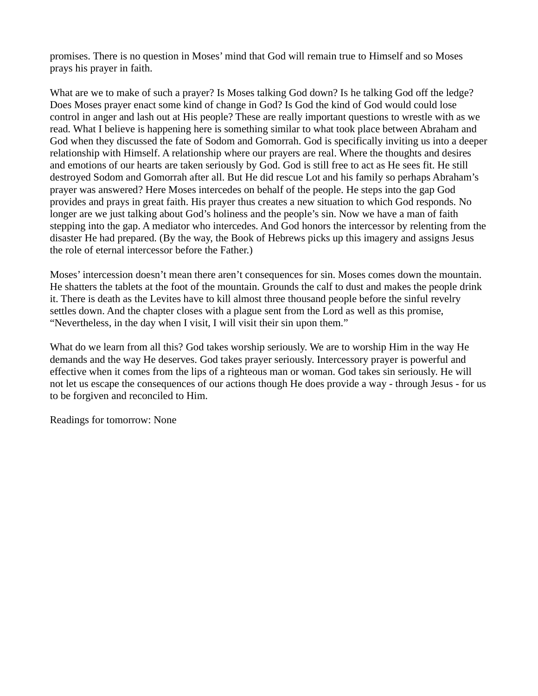promises. There is no question in Moses' mind that God will remain true to Himself and so Moses prays his prayer in faith.

What are we to make of such a prayer? Is Moses talking God down? Is he talking God off the ledge? Does Moses prayer enact some kind of change in God? Is God the kind of God would could lose control in anger and lash out at His people? These are really important questions to wrestle with as we read. What I believe is happening here is something similar to what took place between Abraham and God when they discussed the fate of Sodom and Gomorrah. God is specifically inviting us into a deeper relationship with Himself. A relationship where our prayers are real. Where the thoughts and desires and emotions of our hearts are taken seriously by God. God is still free to act as He sees fit. He still destroyed Sodom and Gomorrah after all. But He did rescue Lot and his family so perhaps Abraham's prayer was answered? Here Moses intercedes on behalf of the people. He steps into the gap God provides and prays in great faith. His prayer thus creates a new situation to which God responds. No longer are we just talking about God's holiness and the people's sin. Now we have a man of faith stepping into the gap. A mediator who intercedes. And God honors the intercessor by relenting from the disaster He had prepared. (By the way, the Book of Hebrews picks up this imagery and assigns Jesus the role of eternal intercessor before the Father.)

Moses' intercession doesn't mean there aren't consequences for sin. Moses comes down the mountain. He shatters the tablets at the foot of the mountain. Grounds the calf to dust and makes the people drink it. There is death as the Levites have to kill almost three thousand people before the sinful revelry settles down. And the chapter closes with a plague sent from the Lord as well as this promise, "Nevertheless, in the day when I visit, I will visit their sin upon them."

What do we learn from all this? God takes worship seriously. We are to worship Him in the way He demands and the way He deserves. God takes prayer seriously. Intercessory prayer is powerful and effective when it comes from the lips of a righteous man or woman. God takes sin seriously. He will not let us escape the consequences of our actions though He does provide a way - through Jesus - for us to be forgiven and reconciled to Him.

Readings for tomorrow: None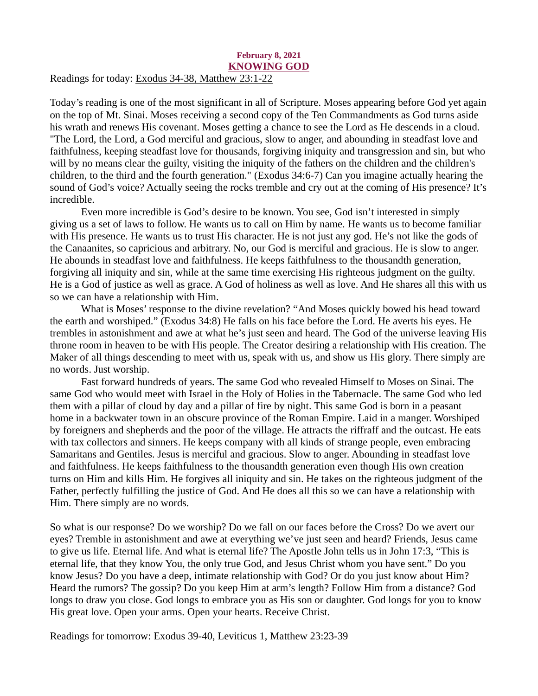#### <span id="page-10-0"></span>February 8, 2021 KNOWING GOD Readings for today: [Exodus 34-38, Matthew 23:1-22](https://www.biblegateway.com/passage/?search=Exodus+34-38%2C+Matthew+23%3A1-22&version=ESV)

Today's reading is one of the most significant in all of Scripture. Moses appearing before God yet again on the top of Mt. Sinai. Moses receiving a second copy of the Ten Commandments as God turns aside his wrath and renews His covenant. Moses getting a chance to see the Lord as He descends in a cloud. "The Lord, the Lord, a God merciful and gracious, slow to anger, and abounding in steadfast love and faithfulness, keeping steadfast love for thousands, forgiving iniquity and transgression and sin, but who will by no means clear the guilty, visiting the iniquity of the fathers on the children and the children's children, to the third and the fourth generation." (Exodus 34:6-7) Can you imagine actually hearing the sound of God's voice? Actually seeing the rocks tremble and cry out at the coming of His presence? It's incredible.

Even more incredible is God's desire to be known. You see, God isn't interested in simply giving us a set of laws to follow. He wants us to call on Him by name. He wants us to become familiar with His presence. He wants us to trust His character. He is not just any god. He's not like the gods of the Canaanites, so capricious and arbitrary. No, our God is merciful and gracious. He is slow to anger. He abounds in steadfast love and faithfulness. He keeps faithfulness to the thousandth generation, forgiving all iniquity and sin, while at the same time exercising His righteous judgment on the guilty. He is a God of justice as well as grace. A God of holiness as well as love. And He shares all this with us so we can have a relationship with Him.

What is Moses' response to the divine revelation? "And Moses quickly bowed his head toward the earth and worshiped." (Exodus 34:8) He falls on his face before the Lord. He averts his eyes. He trembles in astonishment and awe at what he's just seen and heard. The God of the universe leaving His throne room in heaven to be with His people. The Creator desiring a relationship with His creation. The Maker of all things descending to meet with us, speak with us, and show us His glory. There simply are no words. Just worship.

Fast forward hundreds of years. The same God who revealed Himself to Moses on Sinai. The same God who would meet with Israel in the Holy of Holies in the Tabernacle. The same God who led them with a pillar of cloud by day and a pillar of fire by night. This same God is born in a peasant home in a backwater town in an obscure province of the Roman Empire. Laid in a manger. Worshiped by foreigners and shepherds and the poor of the village. He attracts the riffraff and the outcast. He eats with tax collectors and sinners. He keeps company with all kinds of strange people, even embracing Samaritans and Gentiles. Jesus is merciful and gracious. Slow to anger. Abounding in steadfast love and faithfulness. He keeps faithfulness to the thousandth generation even though His own creation turns on Him and kills Him. He forgives all iniquity and sin. He takes on the righteous judgment of the Father, perfectly fulfilling the justice of God. And He does all this so we can have a relationship with Him. There simply are no words.

So what is our response? Do we worship? Do we fall on our faces before the Cross? Do we avert our eyes? Tremble in astonishment and awe at everything we've just seen and heard? Friends, Jesus came to give us life. Eternal life. And what is eternal life? The Apostle John tells us in John 17:3, "This is eternal life, that they know You, the only true God, and Jesus Christ whom you have sent." Do you know Jesus? Do you have a deep, intimate relationship with God? Or do you just know about Him? Heard the rumors? The gossip? Do you keep Him at arm's length? Follow Him from a distance? God longs to draw you close. God longs to embrace you as His son or daughter. God longs for you to know His great love. Open your arms. Open your hearts. Receive Christ.

Readings for tomorrow: Exodus 39-40, Leviticus 1, Matthew 23:23-39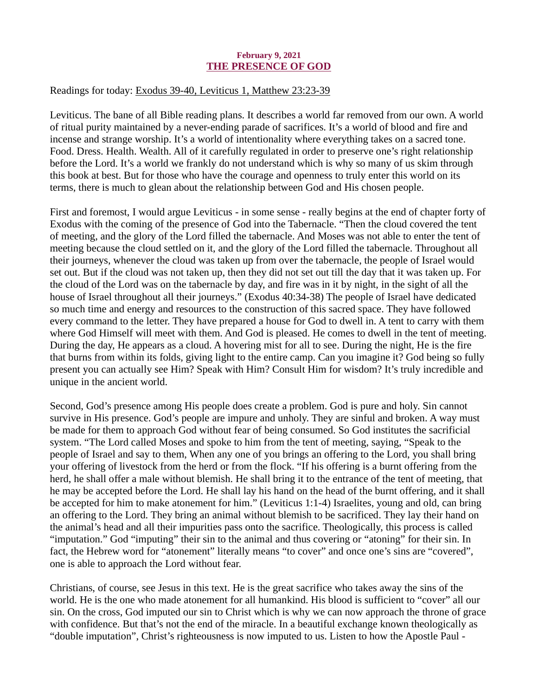#### February 9, 2021 THE PRESENCE OF GOD

## <span id="page-11-0"></span>Readings for today[: Exodus 39-40, Leviticus 1, Matthew 23:23-39](https://www.biblegateway.com/passage/?search=Exodus+39-40%2C+Leviticus+1%2C+Matthew+23%3A23-39&version=ESV)

Leviticus. The bane of all Bible reading plans. It describes a world far removed from our own. A world of ritual purity maintained by a never-ending parade of sacrifices. It's a world of blood and fire and incense and strange worship. It's a world of intentionality where everything takes on a sacred tone. Food. Dress. Health. Wealth. All of it carefully regulated in order to preserve one's right relationship before the Lord. It's a world we frankly do not understand which is why so many of us skim through this book at best. But for those who have the courage and openness to truly enter this world on its terms, there is much to glean about the relationship between God and His chosen people.

First and foremost, I would argue Leviticus - in some sense - really begins at the end of chapter forty of Exodus with the coming of the presence of God into the Tabernacle. "Then the cloud covered the tent of meeting, and the glory of the Lord filled the tabernacle. And Moses was not able to enter the tent of meeting because the cloud settled on it, and the glory of the Lord filled the tabernacle. Throughout all their journeys, whenever the cloud was taken up from over the tabernacle, the people of Israel would set out. But if the cloud was not taken up, then they did not set out till the day that it was taken up. For the cloud of the Lord was on the tabernacle by day, and fire was in it by night, in the sight of all the house of Israel throughout all their journeys." (Exodus 40:34-38) The people of Israel have dedicated so much time and energy and resources to the construction of this sacred space. They have followed every command to the letter. They have prepared a house for God to dwell in. A tent to carry with them where God Himself will meet with them. And God is pleased. He comes to dwell in the tent of meeting. During the day, He appears as a cloud. A hovering mist for all to see. During the night, He is the fire that burns from within its folds, giving light to the entire camp. Can you imagine it? God being so fully present you can actually see Him? Speak with Him? Consult Him for wisdom? It's truly incredible and unique in the ancient world.

Second, God's presence among His people does create a problem. God is pure and holy. Sin cannot survive in His presence. God's people are impure and unholy. They are sinful and broken. A way must be made for them to approach God without fear of being consumed. So God institutes the sacrificial system. "The Lord called Moses and spoke to him from the tent of meeting, saying, "Speak to the people of Israel and say to them, When any one of you brings an offering to the Lord, you shall bring your offering of livestock from the herd or from the flock. "If his offering is a burnt offering from the herd, he shall offer a male without blemish. He shall bring it to the entrance of the tent of meeting, that he may be accepted before the Lord. He shall lay his hand on the head of the burnt offering, and it shall be accepted for him to make atonement for him." (Leviticus 1:1-4) Israelites, young and old, can bring an offering to the Lord. They bring an animal without blemish to be sacrificed. They lay their hand on the animal's head and all their impurities pass onto the sacrifice. Theologically, this process is called "imputation." God "imputing" their sin to the animal and thus covering or "atoning" for their sin. In fact, the Hebrew word for "atonement" literally means "to cover" and once one's sins are "covered", one is able to approach the Lord without fear.

Christians, of course, see Jesus in this text. He is the great sacrifice who takes away the sins of the world. He is the one who made atonement for all humankind. His blood is sufficient to "cover" all our sin. On the cross, God imputed our sin to Christ which is why we can now approach the throne of grace with confidence. But that's not the end of the miracle. In a beautiful exchange known theologically as "double imputation", Christ's righteousness is now imputed to us. Listen to how the Apostle Paul -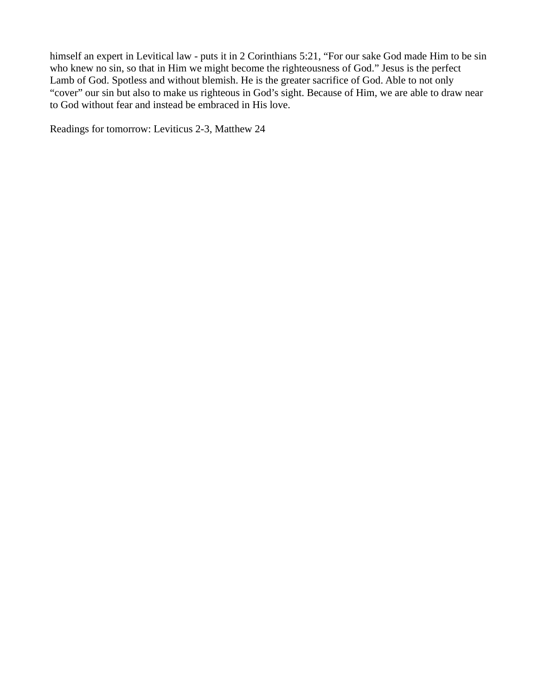himself an expert in Levitical law - puts it in 2 Corinthians 5:21, "For our sake God made Him to be sin who knew no sin, so that in Him we might become the righteousness of God." Jesus is the perfect Lamb of God. Spotless and without blemish. He is the greater sacrifice of God. Able to not only "cover" our sin but also to make us righteous in God's sight. Because of Him, we are able to draw near to God without fear and instead be embraced in His love.

Readings for tomorrow: Leviticus 2-3, Matthew 24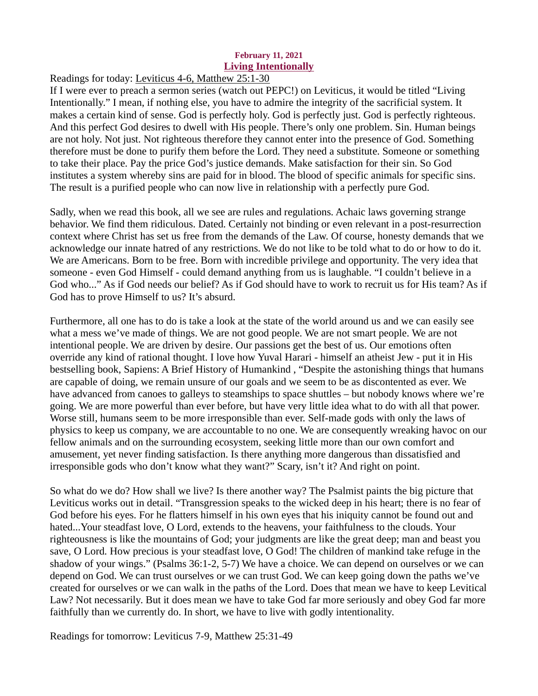#### February 11, 2021 Living Intentionally

<span id="page-13-0"></span>Readings for today: [Leviticus 4-6, Matthew 25:1-30](https://www.biblegateway.com/passage/?search=Leviticus+4-6%2C+Matthew+25%3A1-30&version=ESV)

If I were ever to preach a sermon series (watch out PEPC!) on Leviticus, it would be titled "Living Intentionally." I mean, if nothing else, you have to admire the integrity of the sacrificial system. It makes a certain kind of sense. God is perfectly holy. God is perfectly just. God is perfectly righteous. And this perfect God desires to dwell with His people. There's only one problem. Sin. Human beings are not holy. Not just. Not righteous therefore they cannot enter into the presence of God. Something therefore must be done to purify them before the Lord. They need a substitute. Someone or something to take their place. Pay the price God's justice demands. Make satisfaction for their sin. So God institutes a system whereby sins are paid for in blood. The blood of specific animals for specific sins. The result is a purified people who can now live in relationship with a perfectly pure God.

Sadly, when we read this book, all we see are rules and regulations. Achaic laws governing strange behavior. We find them ridiculous. Dated. Certainly not binding or even relevant in a post-resurrection context where Christ has set us free from the demands of the Law. Of course, honesty demands that we acknowledge our innate hatred of any restrictions. We do not like to be told what to do or how to do it. We are Americans. Born to be free. Born with incredible privilege and opportunity. The very idea that someone - even God Himself - could demand anything from us is laughable. "I couldn't believe in a God who..." As if God needs our belief? As if God should have to work to recruit us for His team? As if God has to prove Himself to us? It's absurd.

Furthermore, all one has to do is take a look at the state of the world around us and we can easily see what a mess we've made of things. We are not good people. We are not smart people. We are not intentional people. We are driven by desire. Our passions get the best of us. Our emotions often override any kind of rational thought. I love how Yuval Harari - himself an atheist Jew - put it in His bestselling book, Sapiens: A Brief History of Humankind , "Despite the astonishing things that humans are capable of doing, we remain unsure of our goals and we seem to be as discontented as ever. We have advanced from canoes to galleys to steamships to space shuttles – but nobody knows where we're going. We are more powerful than ever before, but have very little idea what to do with all that power. Worse still, humans seem to be more irresponsible than ever. Self-made gods with only the laws of physics to keep us company, we are accountable to no one. We are consequently wreaking havoc on our fellow animals and on the surrounding ecosystem, seeking little more than our own comfort and amusement, yet never finding satisfaction. Is there anything more dangerous than dissatisfied and irresponsible gods who don't know what they want?" Scary, isn't it? And right on point.

So what do we do? How shall we live? Is there another way? The Psalmist paints the big picture that Leviticus works out in detail. "Transgression speaks to the wicked deep in his heart; there is no fear of God before his eyes. For he flatters himself in his own eyes that his iniquity cannot be found out and hated...Your steadfast love, O Lord, extends to the heavens, your faithfulness to the clouds. Your righteousness is like the mountains of God; your judgments are like the great deep; man and beast you save, O Lord. How precious is your steadfast love, O God! The children of mankind take refuge in the shadow of your wings." (Psalms 36:1-2, 5-7) We have a choice. We can depend on ourselves or we can depend on God. We can trust ourselves or we can trust God. We can keep going down the paths we've created for ourselves or we can walk in the paths of the Lord. Does that mean we have to keep Levitical Law? Not necessarily. But it does mean we have to take God far more seriously and obey God far more faithfully than we currently do. In short, we have to live with godly intentionality.

Readings for tomorrow: Leviticus 7-9, Matthew 25:31-49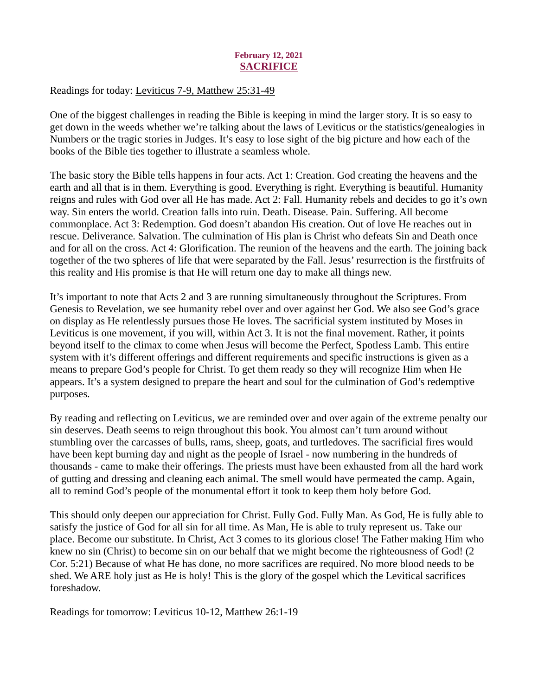# February 12, 2021 **SACRIFICE**

# <span id="page-14-0"></span>Readings for today: [Leviticus 7-9, Matthew 25:31-49](https://www.biblegateway.com/passage/?search=Leviticus+7-9%2C+Matthew+25%3A31-49&version=ESV)

One of the biggest challenges in reading the Bible is keeping in mind the larger story. It is so easy to get down in the weeds whether we're talking about the laws of Leviticus or the statistics/genealogies in Numbers or the tragic stories in Judges. It's easy to lose sight of the big picture and how each of the books of the Bible ties together to illustrate a seamless whole.

The basic story the Bible tells happens in four acts. Act 1: Creation. God creating the heavens and the earth and all that is in them. Everything is good. Everything is right. Everything is beautiful. Humanity reigns and rules with God over all He has made. Act 2: Fall. Humanity rebels and decides to go it's own way. Sin enters the world. Creation falls into ruin. Death. Disease. Pain. Suffering. All become commonplace. Act 3: Redemption. God doesn't abandon His creation. Out of love He reaches out in rescue. Deliverance. Salvation. The culmination of His plan is Christ who defeats Sin and Death once and for all on the cross. Act 4: Glorification. The reunion of the heavens and the earth. The joining back together of the two spheres of life that were separated by the Fall. Jesus' resurrection is the firstfruits of this reality and His promise is that He will return one day to make all things new.

It's important to note that Acts 2 and 3 are running simultaneously throughout the Scriptures. From Genesis to Revelation, we see humanity rebel over and over against her God. We also see God's grace on display as He relentlessly pursues those He loves. The sacrificial system instituted by Moses in Leviticus is one movement, if you will, within Act 3. It is not the final movement. Rather, it points beyond itself to the climax to come when Jesus will become the Perfect, Spotless Lamb. This entire system with it's different offerings and different requirements and specific instructions is given as a means to prepare God's people for Christ. To get them ready so they will recognize Him when He appears. It's a system designed to prepare the heart and soul for the culmination of God's redemptive purposes.

By reading and reflecting on Leviticus, we are reminded over and over again of the extreme penalty our sin deserves. Death seems to reign throughout this book. You almost can't turn around without stumbling over the carcasses of bulls, rams, sheep, goats, and turtledoves. The sacrificial fires would have been kept burning day and night as the people of Israel - now numbering in the hundreds of thousands - came to make their offerings. The priests must have been exhausted from all the hard work of gutting and dressing and cleaning each animal. The smell would have permeated the camp. Again, all to remind God's people of the monumental effort it took to keep them holy before God.

This should only deepen our appreciation for Christ. Fully God. Fully Man. As God, He is fully able to satisfy the justice of God for all sin for all time. As Man, He is able to truly represent us. Take our place. Become our substitute. In Christ, Act 3 comes to its glorious close! The Father making Him who knew no sin (Christ) to become sin on our behalf that we might become the righteousness of God! (2 Cor. 5:21) Because of what He has done, no more sacrifices are required. No more blood needs to be shed. We ARE holy just as He is holy! This is the glory of the gospel which the Levitical sacrifices foreshadow.

Readings for tomorrow: Leviticus 10-12, Matthew 26:1-19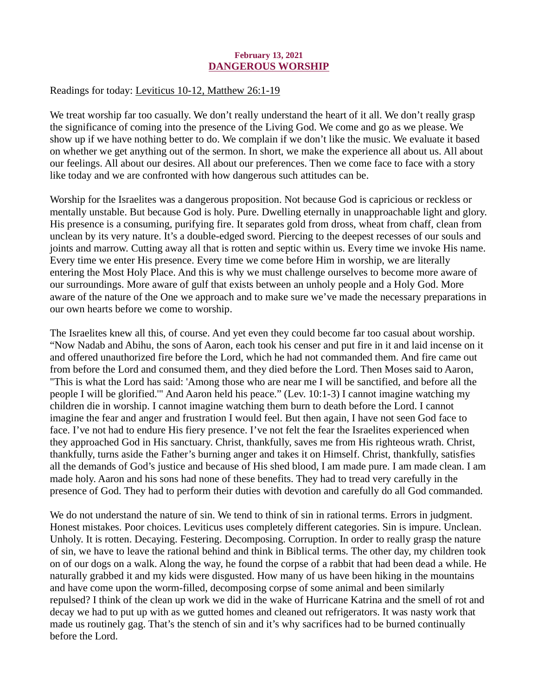### February 13, 2021 DANGEROUS WORSHIP

## <span id="page-15-0"></span>Readings for today[: Leviticus 10-12, Matthew 26:1-19](https://www.biblegateway.com/passage/?search=Leviticus+10-12%2C+Matthew+26%3A1-19&version=ESV)

We treat worship far too casually. We don't really understand the heart of it all. We don't really grasp the significance of coming into the presence of the Living God. We come and go as we please. We show up if we have nothing better to do. We complain if we don't like the music. We evaluate it based on whether we get anything out of the sermon. In short, we make the experience all about us. All about our feelings. All about our desires. All about our preferences. Then we come face to face with a story like today and we are confronted with how dangerous such attitudes can be.

Worship for the Israelites was a dangerous proposition. Not because God is capricious or reckless or mentally unstable. But because God is holy. Pure. Dwelling eternally in unapproachable light and glory. His presence is a consuming, purifying fire. It separates gold from dross, wheat from chaff, clean from unclean by its very nature. It's a double-edged sword. Piercing to the deepest recesses of our souls and joints and marrow. Cutting away all that is rotten and septic within us. Every time we invoke His name. Every time we enter His presence. Every time we come before Him in worship, we are literally entering the Most Holy Place. And this is why we must challenge ourselves to become more aware of our surroundings. More aware of gulf that exists between an unholy people and a Holy God. More aware of the nature of the One we approach and to make sure we've made the necessary preparations in our own hearts before we come to worship.

The Israelites knew all this, of course. And yet even they could become far too casual about worship. "Now Nadab and Abihu, the sons of Aaron, each took his censer and put fire in it and laid incense on it and offered unauthorized fire before the Lord, which he had not commanded them. And fire came out from before the Lord and consumed them, and they died before the Lord. Then Moses said to Aaron, "This is what the Lord has said: 'Among those who are near me I will be sanctified, and before all the people I will be glorified.'" And Aaron held his peace." (Lev. 10:1-3) I cannot imagine watching my children die in worship. I cannot imagine watching them burn to death before the Lord. I cannot imagine the fear and anger and frustration I would feel. But then again, I have not seen God face to face. I've not had to endure His fiery presence. I've not felt the fear the Israelites experienced when they approached God in His sanctuary. Christ, thankfully, saves me from His righteous wrath. Christ, thankfully, turns aside the Father's burning anger and takes it on Himself. Christ, thankfully, satisfies all the demands of God's justice and because of His shed blood, I am made pure. I am made clean. I am made holy. Aaron and his sons had none of these benefits. They had to tread very carefully in the presence of God. They had to perform their duties with devotion and carefully do all God commanded.

We do not understand the nature of sin. We tend to think of sin in rational terms. Errors in judgment. Honest mistakes. Poor choices. Leviticus uses completely different categories. Sin is impure. Unclean. Unholy. It is rotten. Decaying. Festering. Decomposing. Corruption. In order to really grasp the nature of sin, we have to leave the rational behind and think in Biblical terms. The other day, my children took on of our dogs on a walk. Along the way, he found the corpse of a rabbit that had been dead a while. He naturally grabbed it and my kids were disgusted. How many of us have been hiking in the mountains and have come upon the worm-filled, decomposing corpse of some animal and been similarly repulsed? I think of the clean up work we did in the wake of Hurricane Katrina and the smell of rot and decay we had to put up with as we gutted homes and cleaned out refrigerators. It was nasty work that made us routinely gag. That's the stench of sin and it's why sacrifices had to be burned continually before the Lord.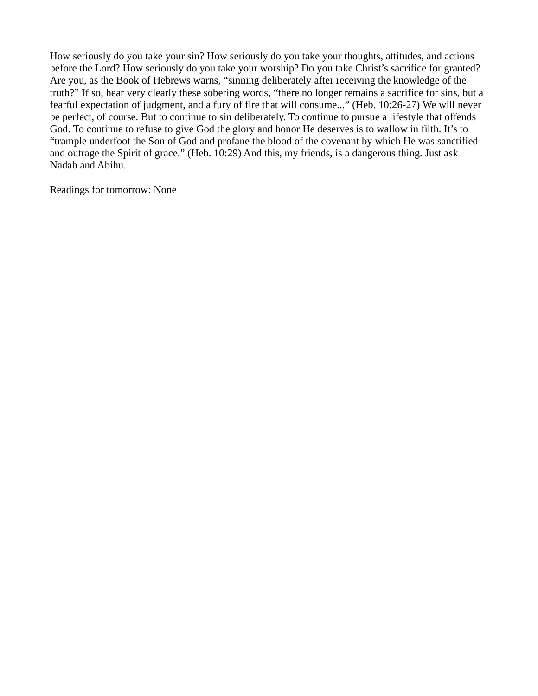How seriously do you take your sin? How seriously do you take your thoughts, attitudes, and actions before the Lord? How seriously do you take your worship? Do you take Christ's sacrifice for granted? Are you, as the Book of Hebrews warns, "sinning deliberately after receiving the knowledge of the truth?" If so, hear very clearly these sobering words, "there no longer remains a sacrifice for sins, but a fearful expectation of judgment, and a fury of fire that will consume..." (Heb. 10:26-27) We will never be perfect, of course. But to continue to sin deliberately. To continue to pursue a lifestyle that offends God. To continue to refuse to give God the glory and honor He deserves is to wallow in filth. It's to "trample underfoot the Son of God and profane the blood of the covenant by which He was sanctified and outrage the Spirit of grace." (Heb. 10:29) And this, my friends, is a dangerous thing. Just ask Nadab and Abihu.

Readings for tomorrow: None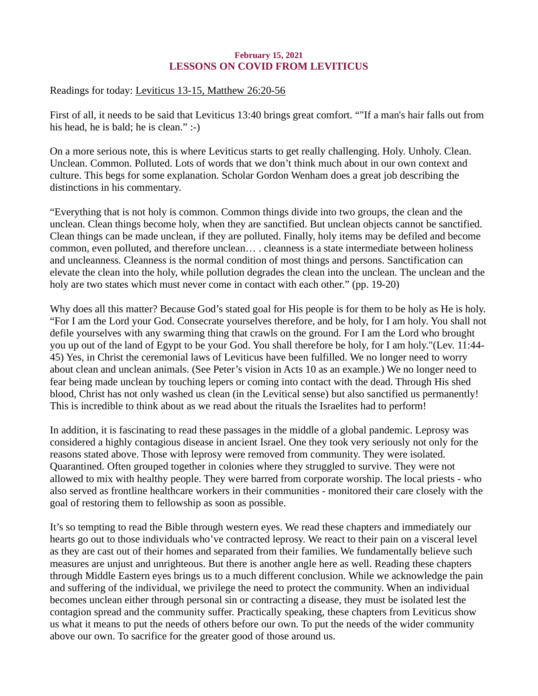# February 15, 2021 LESSONS ON COVID FROM LEVITICUS

<span id="page-17-0"></span>Readings for today[: Leviticus 13-15, Matthew 26:20-56](https://www.biblegateway.com/passage/?search=Leviticus+13-15%2C+Matthew+26%3A20-56&version=ESV)

First of all, it needs to be said that Leviticus 13:40 brings great comfort. ""If a man's hair falls out from his head, he is bald; he is clean." :-)

On a more serious note, this is where Leviticus starts to get really challenging. Holy. Unholy. Clean. Unclean. Common. Polluted. Lots of words that we don't think much about in our own context and culture. This begs for some explanation. Scholar Gordon Wenham does a great job describing the distinctions in his commentary.

"Everything that is not holy is common. Common things divide into two groups, the clean and the unclean. Clean things become holy, when they are sanctified. But unclean objects cannot be sanctified. Clean things can be made unclean, if they are polluted. Finally, holy items may be defiled and become common, even polluted, and therefore unclean… . cleanness is a state intermediate between holiness and uncleanness. Cleanness is the normal condition of most things and persons. Sanctification can elevate the clean into the holy, while pollution degrades the clean into the unclean. The unclean and the holy are two states which must never come in contact with each other." (pp. 19-20)

Why does all this matter? Because God's stated goal for His people is for them to be holy as He is holy. "For I am the Lord your God. Consecrate yourselves therefore, and be holy, for I am holy. You shall not defile yourselves with any swarming thing that crawls on the ground. For I am the Lord who brought you up out of the land of Egypt to be your God. You shall therefore be holy, for I am holy."(Lev. 11:44- 45) Yes, in Christ the ceremonial laws of Leviticus have been fulfilled. We no longer need to worry about clean and unclean animals. (See Peter's vision in Acts 10 as an example.) We no longer need to fear being made unclean by touching lepers or coming into contact with the dead. Through His shed blood, Christ has not only washed us clean (in the Levitical sense) but also sanctified us permanently! This is incredible to think about as we read about the rituals the Israelites had to perform!

In addition, it is fascinating to read these passages in the middle of a global pandemic. Leprosy was considered a highly contagious disease in ancient Israel. One they took very seriously not only for the reasons stated above. Those with leprosy were removed from community. They were isolated. Quarantined. Often grouped together in colonies where they struggled to survive. They were not allowed to mix with healthy people. They were barred from corporate worship. The local priests - who also served as frontline healthcare workers in their communities - monitored their care closely with the goal of restoring them to fellowship as soon as possible.

It's so tempting to read the Bible through western eyes. We read these chapters and immediately our hearts go out to those individuals who've contracted leprosy. We react to their pain on a visceral level as they are cast out of their homes and separated from their families. We fundamentally believe such measures are unjust and unrighteous. But there is another angle here as well. Reading these chapters through Middle Eastern eyes brings us to a much different conclusion. While we acknowledge the pain and suffering of the individual, we privilege the need to protect the community. When an individual becomes unclean either through personal sin or contracting a disease, they must be isolated lest the contagion spread and the community suffer. Practically speaking, these chapters from Leviticus show us what it means to put the needs of others before our own. To put the needs of the wider community above our own. To sacrifice for the greater good of those around us.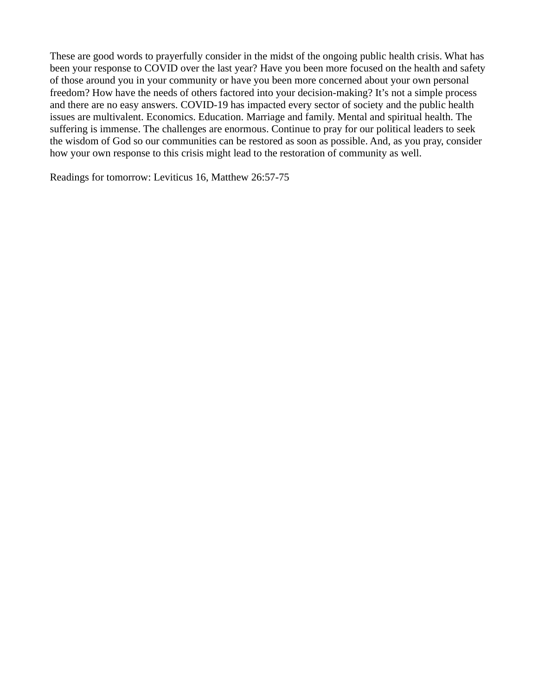These are good words to prayerfully consider in the midst of the ongoing public health crisis. What has been your response to COVID over the last year? Have you been more focused on the health and safety of those around you in your community or have you been more concerned about your own personal freedom? How have the needs of others factored into your decision-making? It's not a simple process and there are no easy answers. COVID-19 has impacted every sector of society and the public health issues are multivalent. Economics. Education. Marriage and family. Mental and spiritual health. The suffering is immense. The challenges are enormous. Continue to pray for our political leaders to seek the wisdom of God so our communities can be restored as soon as possible. And, as you pray, consider how your own response to this crisis might lead to the restoration of community as well.

Readings for tomorrow: Leviticus 16, Matthew 26:57-75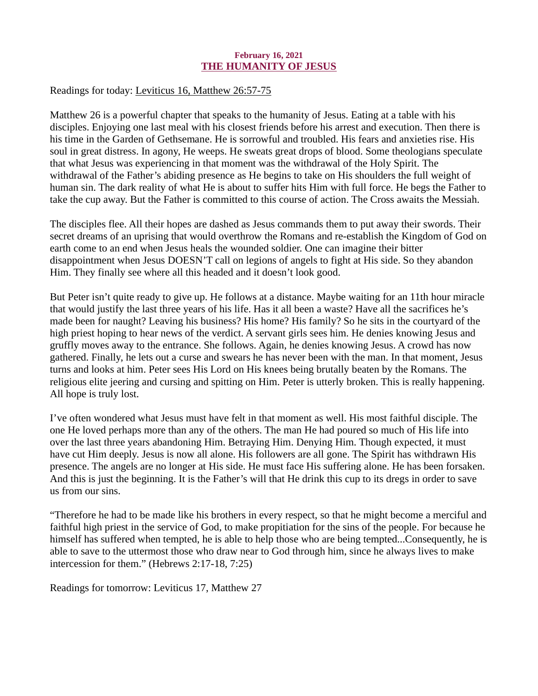## February 16, 2021 THE HUMANITY OF JESUS

<span id="page-19-0"></span>Readings for today[: Leviticus 16, Matthew 26:57-75](https://www.biblegateway.com/passage/?search=Leviticus+16%2C+Matthew+26%3A57-75&version=ESV)

Matthew 26 is a powerful chapter that speaks to the humanity of Jesus. Eating at a table with his disciples. Enjoying one last meal with his closest friends before his arrest and execution. Then there is his time in the Garden of Gethsemane. He is sorrowful and troubled. His fears and anxieties rise. His soul in great distress. In agony, He weeps. He sweats great drops of blood. Some theologians speculate that what Jesus was experiencing in that moment was the withdrawal of the Holy Spirit. The withdrawal of the Father's abiding presence as He begins to take on His shoulders the full weight of human sin. The dark reality of what He is about to suffer hits Him with full force. He begs the Father to take the cup away. But the Father is committed to this course of action. The Cross awaits the Messiah.

The disciples flee. All their hopes are dashed as Jesus commands them to put away their swords. Their secret dreams of an uprising that would overthrow the Romans and re-establish the Kingdom of God on earth come to an end when Jesus heals the wounded soldier. One can imagine their bitter disappointment when Jesus DOESN'T call on legions of angels to fight at His side. So they abandon Him. They finally see where all this headed and it doesn't look good.

But Peter isn't quite ready to give up. He follows at a distance. Maybe waiting for an 11th hour miracle that would justify the last three years of his life. Has it all been a waste? Have all the sacrifices he's made been for naught? Leaving his business? His home? His family? So he sits in the courtyard of the high priest hoping to hear news of the verdict. A servant girls sees him. He denies knowing Jesus and gruffly moves away to the entrance. She follows. Again, he denies knowing Jesus. A crowd has now gathered. Finally, he lets out a curse and swears he has never been with the man. In that moment, Jesus turns and looks at him. Peter sees His Lord on His knees being brutally beaten by the Romans. The religious elite jeering and cursing and spitting on Him. Peter is utterly broken. This is really happening. All hope is truly lost.

I've often wondered what Jesus must have felt in that moment as well. His most faithful disciple. The one He loved perhaps more than any of the others. The man He had poured so much of His life into over the last three years abandoning Him. Betraying Him. Denying Him. Though expected, it must have cut Him deeply. Jesus is now all alone. His followers are all gone. The Spirit has withdrawn His presence. The angels are no longer at His side. He must face His suffering alone. He has been forsaken. And this is just the beginning. It is the Father's will that He drink this cup to its dregs in order to save us from our sins.

"Therefore he had to be made like his brothers in every respect, so that he might become a merciful and faithful high priest in the service of God, to make propitiation for the sins of the people. For because he himself has suffered when tempted, he is able to help those who are being tempted...Consequently, he is able to save to the uttermost those who draw near to God through him, since he always lives to make intercession for them." (Hebrews 2:17-18, 7:25)

Readings for tomorrow: Leviticus 17, Matthew 27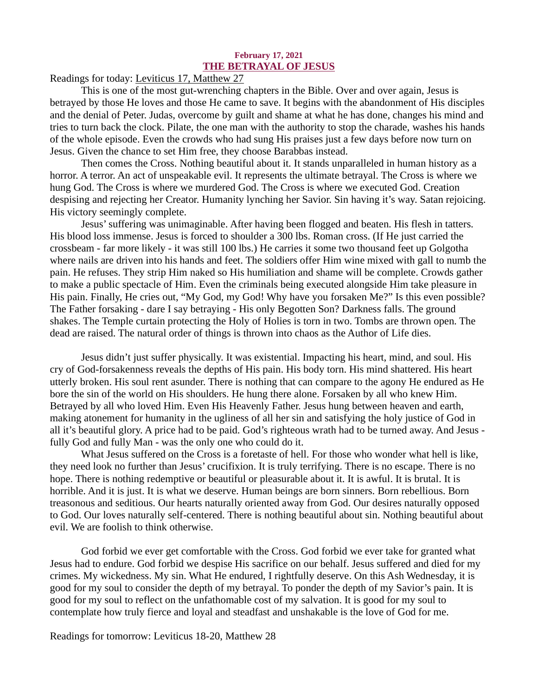#### February 17, 2021 THE BETRAYAL OF JESUS

<span id="page-20-0"></span>Readings for today[: Leviticus 17, Matthew 27](https://www.biblegateway.com/passage/?search=Leviticus+17%2C+Matthew+27&version=ESV)

This is one of the most gut-wrenching chapters in the Bible. Over and over again, Jesus is betrayed by those He loves and those He came to save. It begins with the abandonment of His disciples and the denial of Peter. Judas, overcome by guilt and shame at what he has done, changes his mind and tries to turn back the clock. Pilate, the one man with the authority to stop the charade, washes his hands of the whole episode. Even the crowds who had sung His praises just a few days before now turn on Jesus. Given the chance to set Him free, they choose Barabbas instead.

Then comes the Cross. Nothing beautiful about it. It stands unparalleled in human history as a horror. A terror. An act of unspeakable evil. It represents the ultimate betrayal. The Cross is where we hung God. The Cross is where we murdered God. The Cross is where we executed God. Creation despising and rejecting her Creator. Humanity lynching her Savior. Sin having it's way. Satan rejoicing. His victory seemingly complete.

Jesus' suffering was unimaginable. After having been flogged and beaten. His flesh in tatters. His blood loss immense. Jesus is forced to shoulder a 300 lbs. Roman cross. (If He just carried the crossbeam - far more likely - it was still 100 lbs.) He carries it some two thousand feet up Golgotha where nails are driven into his hands and feet. The soldiers offer Him wine mixed with gall to numb the pain. He refuses. They strip Him naked so His humiliation and shame will be complete. Crowds gather to make a public spectacle of Him. Even the criminals being executed alongside Him take pleasure in His pain. Finally, He cries out, "My God, my God! Why have you forsaken Me?" Is this even possible? The Father forsaking - dare I say betraying - His only Begotten Son? Darkness falls. The ground shakes. The Temple curtain protecting the Holy of Holies is torn in two. Tombs are thrown open. The dead are raised. The natural order of things is thrown into chaos as the Author of Life dies.

Jesus didn't just suffer physically. It was existential. Impacting his heart, mind, and soul. His cry of God-forsakenness reveals the depths of His pain. His body torn. His mind shattered. His heart utterly broken. His soul rent asunder. There is nothing that can compare to the agony He endured as He bore the sin of the world on His shoulders. He hung there alone. Forsaken by all who knew Him. Betrayed by all who loved Him. Even His Heavenly Father. Jesus hung between heaven and earth, making atonement for humanity in the ugliness of all her sin and satisfying the holy justice of God in all it's beautiful glory. A price had to be paid. God's righteous wrath had to be turned away. And Jesus fully God and fully Man - was the only one who could do it.

What Jesus suffered on the Cross is a foretaste of hell. For those who wonder what hell is like, they need look no further than Jesus' crucifixion. It is truly terrifying. There is no escape. There is no hope. There is nothing redemptive or beautiful or pleasurable about it. It is awful. It is brutal. It is horrible. And it is just. It is what we deserve. Human beings are born sinners. Born rebellious. Born treasonous and seditious. Our hearts naturally oriented away from God. Our desires naturally opposed to God. Our loves naturally self-centered. There is nothing beautiful about sin. Nothing beautiful about evil. We are foolish to think otherwise.

God forbid we ever get comfortable with the Cross. God forbid we ever take for granted what Jesus had to endure. God forbid we despise His sacrifice on our behalf. Jesus suffered and died for my crimes. My wickedness. My sin. What He endured, I rightfully deserve. On this Ash Wednesday, it is good for my soul to consider the depth of my betrayal. To ponder the depth of my Savior's pain. It is good for my soul to reflect on the unfathomable cost of my salvation. It is good for my soul to contemplate how truly fierce and loyal and steadfast and unshakable is the love of God for me.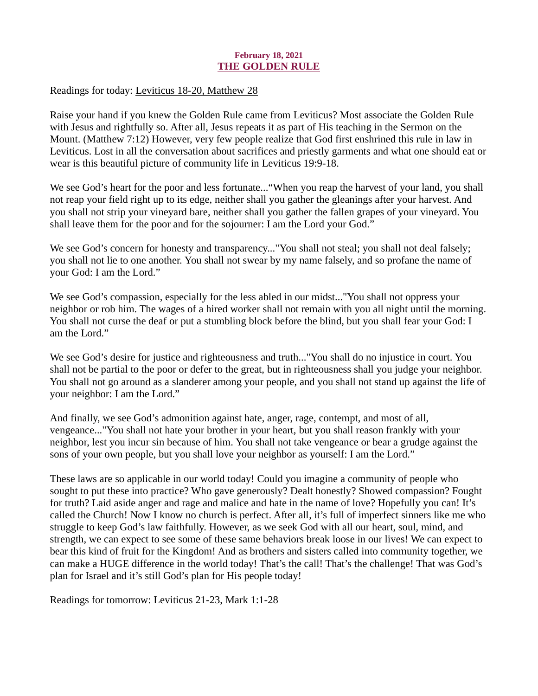## February 18, 2021 THE GOLDEN RULE

<span id="page-21-0"></span>Readings for today[: Leviticus 18-20, Matthew 28](https://www.biblegateway.com/passage/?search=Leviticus+18-20%2C+Matthew+28&version=ESV)

Raise your hand if you knew the Golden Rule came from Leviticus? Most associate the Golden Rule with Jesus and rightfully so. After all, Jesus repeats it as part of His teaching in the Sermon on the Mount. (Matthew 7:12) However, very few people realize that God first enshrined this rule in law in Leviticus. Lost in all the conversation about sacrifices and priestly garments and what one should eat or wear is this beautiful picture of community life in Leviticus 19:9-18.

We see God's heart for the poor and less fortunate..."When you reap the harvest of your land, you shall not reap your field right up to its edge, neither shall you gather the gleanings after your harvest. And you shall not strip your vineyard bare, neither shall you gather the fallen grapes of your vineyard. You shall leave them for the poor and for the sojourner: I am the Lord your God."

We see God's concern for honesty and transparency..."You shall not steal; you shall not deal falsely; you shall not lie to one another. You shall not swear by my name falsely, and so profane the name of your God: I am the Lord."

We see God's compassion, especially for the less abled in our midst..."You shall not oppress your neighbor or rob him. The wages of a hired worker shall not remain with you all night until the morning. You shall not curse the deaf or put a stumbling block before the blind, but you shall fear your God: I am the Lord."

We see God's desire for justice and righteousness and truth..."You shall do no injustice in court. You shall not be partial to the poor or defer to the great, but in righteousness shall you judge your neighbor. You shall not go around as a slanderer among your people, and you shall not stand up against the life of your neighbor: I am the Lord."

And finally, we see God's admonition against hate, anger, rage, contempt, and most of all, vengeance..."You shall not hate your brother in your heart, but you shall reason frankly with your neighbor, lest you incur sin because of him. You shall not take vengeance or bear a grudge against the sons of your own people, but you shall love your neighbor as yourself: I am the Lord."

These laws are so applicable in our world today! Could you imagine a community of people who sought to put these into practice? Who gave generously? Dealt honestly? Showed compassion? Fought for truth? Laid aside anger and rage and malice and hate in the name of love? Hopefully you can! It's called the Church! Now I know no church is perfect. After all, it's full of imperfect sinners like me who struggle to keep God's law faithfully. However, as we seek God with all our heart, soul, mind, and strength, we can expect to see some of these same behaviors break loose in our lives! We can expect to bear this kind of fruit for the Kingdom! And as brothers and sisters called into community together, we can make a HUGE difference in the world today! That's the call! That's the challenge! That was God's plan for Israel and it's still God's plan for His people today!

Readings for tomorrow: Leviticus 21-23, Mark 1:1-28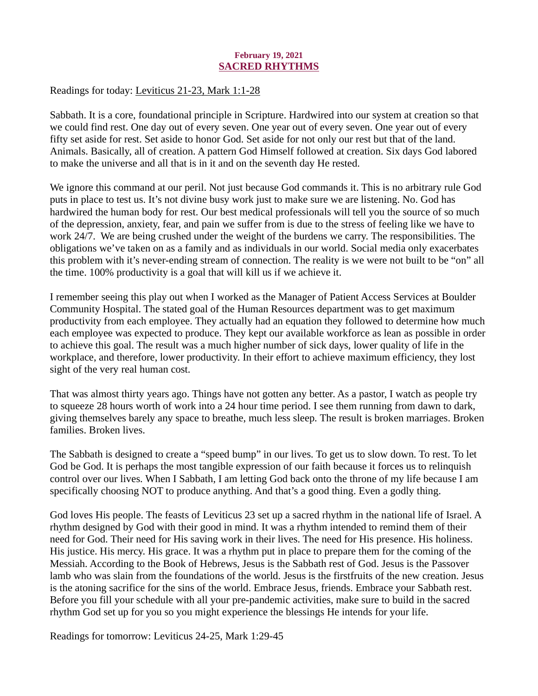## February 19, 2021 SACRED RHYTHMS

<span id="page-22-0"></span>Readings for today[: Leviticus 21-23, Mark 1:1-28](https://www.biblegateway.com/passage/?search=Leviticus+21-23%2C+Mark+1%3A1-28&version=ESV)

Sabbath. It is a core, foundational principle in Scripture. Hardwired into our system at creation so that we could find rest. One day out of every seven. One year out of every seven. One year out of every fifty set aside for rest. Set aside to honor God. Set aside for not only our rest but that of the land. Animals. Basically, all of creation. A pattern God Himself followed at creation. Six days God labored to make the universe and all that is in it and on the seventh day He rested.

We ignore this command at our peril. Not just because God commands it. This is no arbitrary rule God puts in place to test us. It's not divine busy work just to make sure we are listening. No. God has hardwired the human body for rest. Our best medical professionals will tell you the source of so much of the depression, anxiety, fear, and pain we suffer from is due to the stress of feeling like we have to work 24/7. We are being crushed under the weight of the burdens we carry. The responsibilities. The obligations we've taken on as a family and as individuals in our world. Social media only exacerbates this problem with it's never-ending stream of connection. The reality is we were not built to be "on" all the time. 100% productivity is a goal that will kill us if we achieve it.

I remember seeing this play out when I worked as the Manager of Patient Access Services at Boulder Community Hospital. The stated goal of the Human Resources department was to get maximum productivity from each employee. They actually had an equation they followed to determine how much each employee was expected to produce. They kept our available workforce as lean as possible in order to achieve this goal. The result was a much higher number of sick days, lower quality of life in the workplace, and therefore, lower productivity. In their effort to achieve maximum efficiency, they lost sight of the very real human cost.

That was almost thirty years ago. Things have not gotten any better. As a pastor, I watch as people try to squeeze 28 hours worth of work into a 24 hour time period. I see them running from dawn to dark, giving themselves barely any space to breathe, much less sleep. The result is broken marriages. Broken families. Broken lives.

The Sabbath is designed to create a "speed bump" in our lives. To get us to slow down. To rest. To let God be God. It is perhaps the most tangible expression of our faith because it forces us to relinquish control over our lives. When I Sabbath, I am letting God back onto the throne of my life because I am specifically choosing NOT to produce anything. And that's a good thing. Even a godly thing.

God loves His people. The feasts of Leviticus 23 set up a sacred rhythm in the national life of Israel. A rhythm designed by God with their good in mind. It was a rhythm intended to remind them of their need for God. Their need for His saving work in their lives. The need for His presence. His holiness. His justice. His mercy. His grace. It was a rhythm put in place to prepare them for the coming of the Messiah. According to the Book of Hebrews, Jesus is the Sabbath rest of God. Jesus is the Passover lamb who was slain from the foundations of the world. Jesus is the firstfruits of the new creation. Jesus is the atoning sacrifice for the sins of the world. Embrace Jesus, friends. Embrace your Sabbath rest. Before you fill your schedule with all your pre-pandemic activities, make sure to build in the sacred rhythm God set up for you so you might experience the blessings He intends for your life.

Readings for tomorrow: Leviticus 24-25, Mark 1:29-45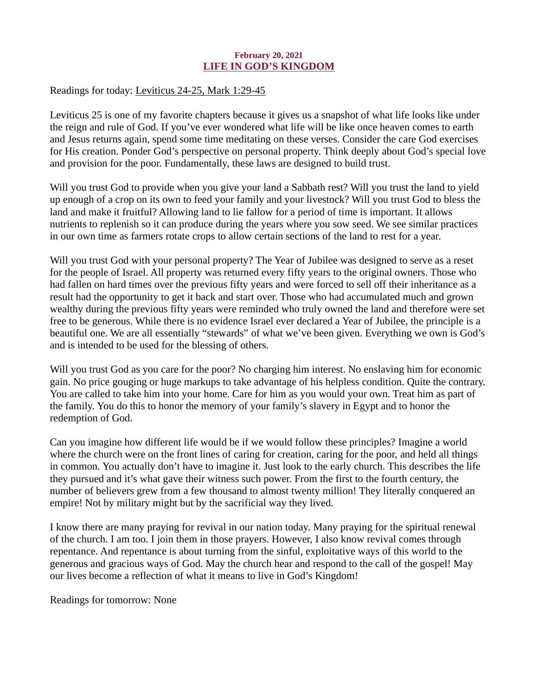### February 20, 2021 LIFE IN GOD'S KINGDOM

<span id="page-23-0"></span>Readings for today: [Leviticus 24-25, Mark 1:29-45](https://www.biblegateway.com/passage/?search=Leviticus+24-25%2C+Mark+1%3A29-45&version=ESV)

Leviticus 25 is one of my favorite chapters because it gives us a snapshot of what life looks like under the reign and rule of God. If you've ever wondered what life will be like once heaven comes to earth and Jesus returns again, spend some time meditating on these verses. Consider the care God exercises for His creation. Ponder God's perspective on personal property. Think deeply about God's special love and provision for the poor. Fundamentally, these laws are designed to build trust.

Will you trust God to provide when you give your land a Sabbath rest? Will you trust the land to yield up enough of a crop on its own to feed your family and your livestock? Will you trust God to bless the land and make it fruitful? Allowing land to lie fallow for a period of time is important. It allows nutrients to replenish so it can produce during the years where you sow seed. We see similar practices in our own time as farmers rotate crops to allow certain sections of the land to rest for a year.

Will you trust God with your personal property? The Year of Jubilee was designed to serve as a reset for the people of Israel. All property was returned every fifty years to the original owners. Those who had fallen on hard times over the previous fifty years and were forced to sell off their inheritance as a result had the opportunity to get it back and start over. Those who had accumulated much and grown wealthy during the previous fifty years were reminded who truly owned the land and therefore were set free to be generous. While there is no evidence Israel ever declared a Year of Jubilee, the principle is a beautiful one. We are all essentially "stewards" of what we've been given. Everything we own is God's and is intended to be used for the blessing of others.

Will you trust God as you care for the poor? No charging him interest. No enslaving him for economic gain. No price gouging or huge markups to take advantage of his helpless condition. Quite the contrary. You are called to take him into your home. Care for him as you would your own. Treat him as part of the family. You do this to honor the memory of your family's slavery in Egypt and to honor the redemption of God.

Can you imagine how different life would be if we would follow these principles? Imagine a world where the church were on the front lines of caring for creation, caring for the poor, and held all things in common. You actually don't have to imagine it. Just look to the early church. This describes the life they pursued and it's what gave their witness such power. From the first to the fourth century, the number of believers grew from a few thousand to almost twenty million! They literally conquered an empire! Not by military might but by the sacrificial way they lived.

I know there are many praying for revival in our nation today. Many praying for the spiritual renewal of the church. I am too. I join them in those prayers. However, I also know revival comes through repentance. And repentance is about turning from the sinful, exploitative ways of this world to the generous and gracious ways of God. May the church hear and respond to the call of the gospel! May our lives become a reflection of what it means to live in God's Kingdom!

Readings for tomorrow: None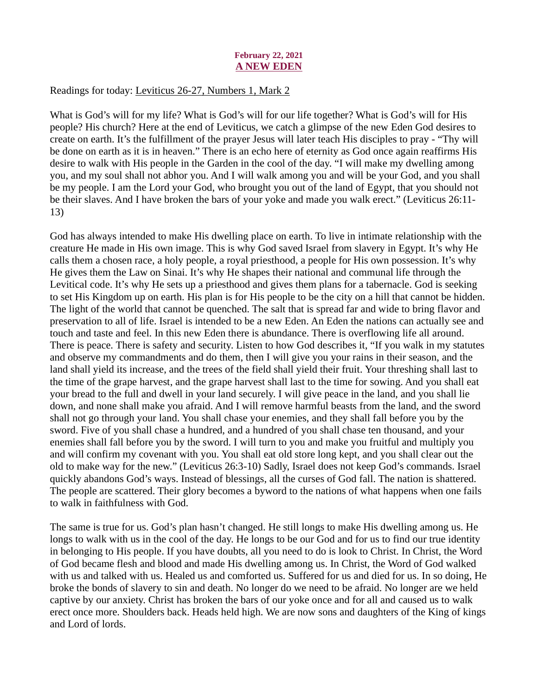#### February 22, 2021 A NEW EDEN

## <span id="page-24-0"></span>Readings for today[: Leviticus 26-27, Numbers 1, Mark 2](https://www.biblegateway.com/passage/?search=Leviticus+26-27%2C+Numbers+1%2C+Mark+2&version=ESV)

What is God's will for my life? What is God's will for our life together? What is God's will for His people? His church? Here at the end of Leviticus, we catch a glimpse of the new Eden God desires to create on earth. It's the fulfillment of the prayer Jesus will later teach His disciples to pray - "Thy will be done on earth as it is in heaven." There is an echo here of eternity as God once again reaffirms His desire to walk with His people in the Garden in the cool of the day. "I will make my dwelling among you, and my soul shall not abhor you. And I will walk among you and will be your God, and you shall be my people. I am the Lord your God, who brought you out of the land of Egypt, that you should not be their slaves. And I have broken the bars of your yoke and made you walk erect." (Leviticus 26:11- 13)

God has always intended to make His dwelling place on earth. To live in intimate relationship with the creature He made in His own image. This is why God saved Israel from slavery in Egypt. It's why He calls them a chosen race, a holy people, a royal priesthood, a people for His own possession. It's why He gives them the Law on Sinai. It's why He shapes their national and communal life through the Levitical code. It's why He sets up a priesthood and gives them plans for a tabernacle. God is seeking to set His Kingdom up on earth. His plan is for His people to be the city on a hill that cannot be hidden. The light of the world that cannot be quenched. The salt that is spread far and wide to bring flavor and preservation to all of life. Israel is intended to be a new Eden. An Eden the nations can actually see and touch and taste and feel. In this new Eden there is abundance. There is overflowing life all around. There is peace. There is safety and security. Listen to how God describes it, "If you walk in my statutes and observe my commandments and do them, then I will give you your rains in their season, and the land shall yield its increase, and the trees of the field shall yield their fruit. Your threshing shall last to the time of the grape harvest, and the grape harvest shall last to the time for sowing. And you shall eat your bread to the full and dwell in your land securely. I will give peace in the land, and you shall lie down, and none shall make you afraid. And I will remove harmful beasts from the land, and the sword shall not go through your land. You shall chase your enemies, and they shall fall before you by the sword. Five of you shall chase a hundred, and a hundred of you shall chase ten thousand, and your enemies shall fall before you by the sword. I will turn to you and make you fruitful and multiply you and will confirm my covenant with you. You shall eat old store long kept, and you shall clear out the old to make way for the new." (Leviticus 26:3-10) Sadly, Israel does not keep God's commands. Israel quickly abandons God's ways. Instead of blessings, all the curses of God fall. The nation is shattered. The people are scattered. Their glory becomes a byword to the nations of what happens when one fails to walk in faithfulness with God.

The same is true for us. God's plan hasn't changed. He still longs to make His dwelling among us. He longs to walk with us in the cool of the day. He longs to be our God and for us to find our true identity in belonging to His people. If you have doubts, all you need to do is look to Christ. In Christ, the Word of God became flesh and blood and made His dwelling among us. In Christ, the Word of God walked with us and talked with us. Healed us and comforted us. Suffered for us and died for us. In so doing, He broke the bonds of slavery to sin and death. No longer do we need to be afraid. No longer are we held captive by our anxiety. Christ has broken the bars of our yoke once and for all and caused us to walk erect once more. Shoulders back. Heads held high. We are now sons and daughters of the King of kings and Lord of lords.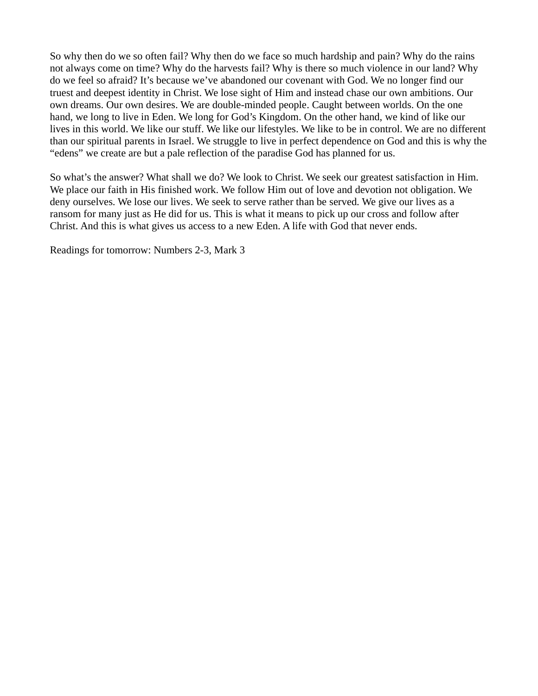So why then do we so often fail? Why then do we face so much hardship and pain? Why do the rains not always come on time? Why do the harvests fail? Why is there so much violence in our land? Why do we feel so afraid? It's because we've abandoned our covenant with God. We no longer find our truest and deepest identity in Christ. We lose sight of Him and instead chase our own ambitions. Our own dreams. Our own desires. We are double-minded people. Caught between worlds. On the one hand, we long to live in Eden. We long for God's Kingdom. On the other hand, we kind of like our lives in this world. We like our stuff. We like our lifestyles. We like to be in control. We are no different than our spiritual parents in Israel. We struggle to live in perfect dependence on God and this is why the "edens" we create are but a pale reflection of the paradise God has planned for us.

So what's the answer? What shall we do? We look to Christ. We seek our greatest satisfaction in Him. We place our faith in His finished work. We follow Him out of love and devotion not obligation. We deny ourselves. We lose our lives. We seek to serve rather than be served. We give our lives as a ransom for many just as He did for us. This is what it means to pick up our cross and follow after Christ. And this is what gives us access to a new Eden. A life with God that never ends.

Readings for tomorrow: Numbers 2-3, Mark 3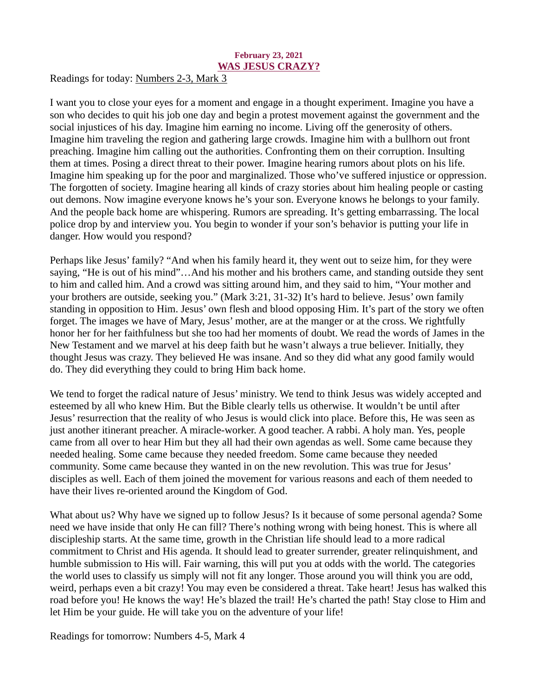#### February 23, 2021 WAS JESUS CRAZY?

<span id="page-26-0"></span>Readings for today[: Numbers 2-3, Mark 3](https://www.biblegateway.com/passage/?search=Numbers+2-3%2C+Mark+3&version=ESV)

I want you to close your eyes for a moment and engage in a thought experiment. Imagine you have a son who decides to quit his job one day and begin a protest movement against the government and the social injustices of his day. Imagine him earning no income. Living off the generosity of others. Imagine him traveling the region and gathering large crowds. Imagine him with a bullhorn out front preaching. Imagine him calling out the authorities. Confronting them on their corruption. Insulting them at times. Posing a direct threat to their power. Imagine hearing rumors about plots on his life. Imagine him speaking up for the poor and marginalized. Those who've suffered injustice or oppression. The forgotten of society. Imagine hearing all kinds of crazy stories about him healing people or casting out demons. Now imagine everyone knows he's your son. Everyone knows he belongs to your family. And the people back home are whispering. Rumors are spreading. It's getting embarrassing. The local police drop by and interview you. You begin to wonder if your son's behavior is putting your life in danger. How would you respond?

Perhaps like Jesus' family? "And when his family heard it, they went out to seize him, for they were saying, "He is out of his mind"…And his mother and his brothers came, and standing outside they sent to him and called him. And a crowd was sitting around him, and they said to him, "Your mother and your brothers are outside, seeking you." (Mark 3:21, 31-32) It's hard to believe. Jesus' own family standing in opposition to Him. Jesus' own flesh and blood opposing Him. It's part of the story we often forget. The images we have of Mary, Jesus' mother, are at the manger or at the cross. We rightfully honor her for her faithfulness but she too had her moments of doubt. We read the words of James in the New Testament and we marvel at his deep faith but he wasn't always a true believer. Initially, they thought Jesus was crazy. They believed He was insane. And so they did what any good family would do. They did everything they could to bring Him back home.

We tend to forget the radical nature of Jesus' ministry. We tend to think Jesus was widely accepted and esteemed by all who knew Him. But the Bible clearly tells us otherwise. It wouldn't be until after Jesus' resurrection that the reality of who Jesus is would click into place. Before this, He was seen as just another itinerant preacher. A miracle-worker. A good teacher. A rabbi. A holy man. Yes, people came from all over to hear Him but they all had their own agendas as well. Some came because they needed healing. Some came because they needed freedom. Some came because they needed community. Some came because they wanted in on the new revolution. This was true for Jesus' disciples as well. Each of them joined the movement for various reasons and each of them needed to have their lives re-oriented around the Kingdom of God.

What about us? Why have we signed up to follow Jesus? Is it because of some personal agenda? Some need we have inside that only He can fill? There's nothing wrong with being honest. This is where all discipleship starts. At the same time, growth in the Christian life should lead to a more radical commitment to Christ and His agenda. It should lead to greater surrender, greater relinquishment, and humble submission to His will. Fair warning, this will put you at odds with the world. The categories the world uses to classify us simply will not fit any longer. Those around you will think you are odd, weird, perhaps even a bit crazy! You may even be considered a threat. Take heart! Jesus has walked this road before you! He knows the way! He's blazed the trail! He's charted the path! Stay close to Him and let Him be your guide. He will take you on the adventure of your life!

Readings for tomorrow: Numbers 4-5, Mark 4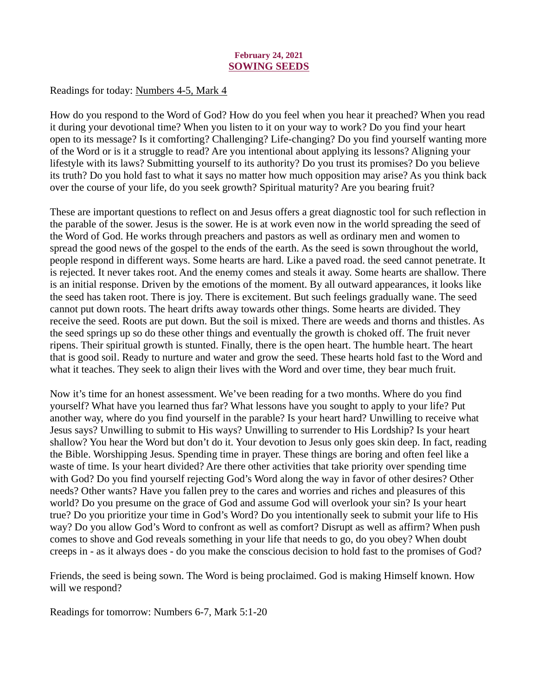## February 24, 2021 SOWING SEEDS

# <span id="page-27-0"></span>Readings for today: [Numbers 4-5, Mark 4](https://www.biblegateway.com/passage/?search=Numbers+4-5%2C+Mark+4&version=ESV)

How do you respond to the Word of God? How do you feel when you hear it preached? When you read it during your devotional time? When you listen to it on your way to work? Do you find your heart open to its message? Is it comforting? Challenging? Life-changing? Do you find yourself wanting more of the Word or is it a struggle to read? Are you intentional about applying its lessons? Aligning your lifestyle with its laws? Submitting yourself to its authority? Do you trust its promises? Do you believe its truth? Do you hold fast to what it says no matter how much opposition may arise? As you think back over the course of your life, do you seek growth? Spiritual maturity? Are you bearing fruit?

These are important questions to reflect on and Jesus offers a great diagnostic tool for such reflection in the parable of the sower. Jesus is the sower. He is at work even now in the world spreading the seed of the Word of God. He works through preachers and pastors as well as ordinary men and women to spread the good news of the gospel to the ends of the earth. As the seed is sown throughout the world, people respond in different ways. Some hearts are hard. Like a paved road. the seed cannot penetrate. It is rejected. It never takes root. And the enemy comes and steals it away. Some hearts are shallow. There is an initial response. Driven by the emotions of the moment. By all outward appearances, it looks like the seed has taken root. There is joy. There is excitement. But such feelings gradually wane. The seed cannot put down roots. The heart drifts away towards other things. Some hearts are divided. They receive the seed. Roots are put down. But the soil is mixed. There are weeds and thorns and thistles. As the seed springs up so do these other things and eventually the growth is choked off. The fruit never ripens. Their spiritual growth is stunted. Finally, there is the open heart. The humble heart. The heart that is good soil. Ready to nurture and water and grow the seed. These hearts hold fast to the Word and what it teaches. They seek to align their lives with the Word and over time, they bear much fruit.

Now it's time for an honest assessment. We've been reading for a two months. Where do you find yourself? What have you learned thus far? What lessons have you sought to apply to your life? Put another way, where do you find yourself in the parable? Is your heart hard? Unwilling to receive what Jesus says? Unwilling to submit to His ways? Unwilling to surrender to His Lordship? Is your heart shallow? You hear the Word but don't do it. Your devotion to Jesus only goes skin deep. In fact, reading the Bible. Worshipping Jesus. Spending time in prayer. These things are boring and often feel like a waste of time. Is your heart divided? Are there other activities that take priority over spending time with God? Do you find yourself rejecting God's Word along the way in favor of other desires? Other needs? Other wants? Have you fallen prey to the cares and worries and riches and pleasures of this world? Do you presume on the grace of God and assume God will overlook your sin? Is your heart true? Do you prioritize your time in God's Word? Do you intentionally seek to submit your life to His way? Do you allow God's Word to confront as well as comfort? Disrupt as well as affirm? When push comes to shove and God reveals something in your life that needs to go, do you obey? When doubt creeps in - as it always does - do you make the conscious decision to hold fast to the promises of God?

Friends, the seed is being sown. The Word is being proclaimed. God is making Himself known. How will we respond?

Readings for tomorrow: Numbers 6-7, Mark 5:1-20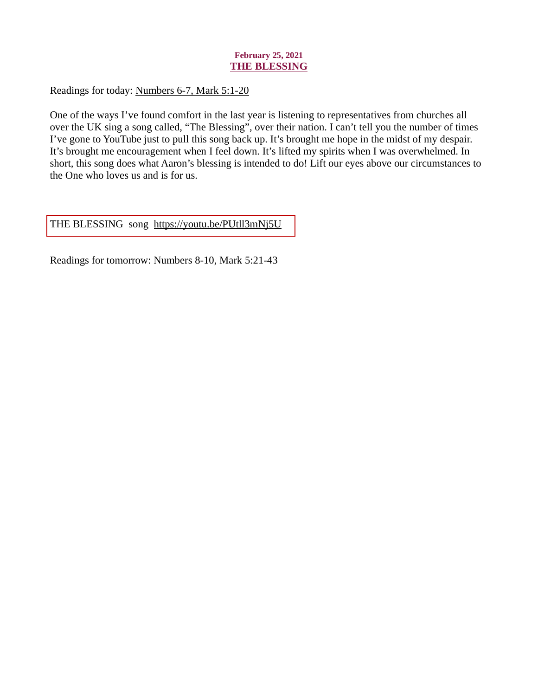# February 25, 2021 THE BLESSING

<span id="page-28-0"></span>Readings for today[: Numbers 6-7, Mark 5:1-20](https://www.biblegateway.com/passage/?search=Numbers+6-7%2C+Mark+5%3A1-20&version=ESV)

One of the ways I've found comfort in the last year is listening to representatives from churches all over the UK sing a song called, "The Blessing", over their nation. I can't tell you the number of times I've gone to YouTube just to pull this song back up. It's brought me hope in the midst of my despair. It's brought me encouragement when I feel down. It's lifted my spirits when I was overwhelmed. In short, this song does what Aaron's blessing is intended to do! Lift our eyes above our circumstances to the One who loves us and is for us.

[THE BLESSING song https://youtu.be/PUtll3mNj5U](https://youtu.be/PUtll3mNj5U)

Readings for tomorrow: Numbers 8-10, Mark 5:21-43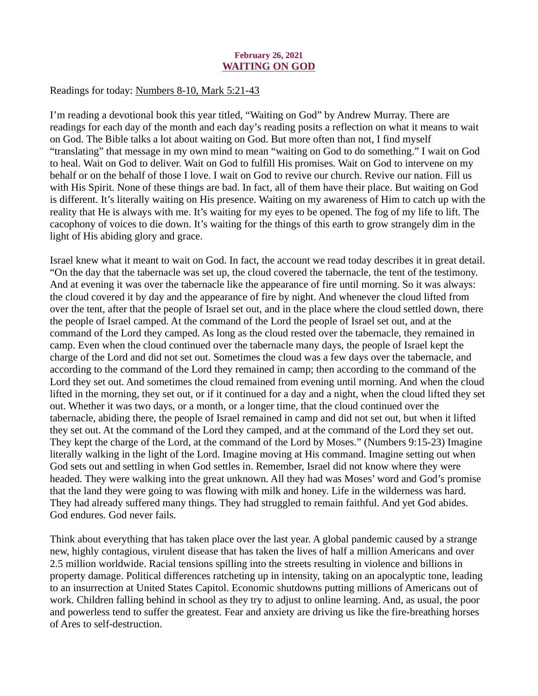### February 26, 2021 WAITING ON GOD

### <span id="page-29-0"></span>Readings for today[: Numbers 8-10, Mark 5:21-43](https://www.biblegateway.com/passage/?search=Numbers+8-10%2C+Mark+5%3A21-43&version=ESV)

I'm reading a devotional book this year titled, "Waiting on God" by Andrew Murray. There are readings for each day of the month and each day's reading posits a reflection on what it means to wait on God. The Bible talks a lot about waiting on God. But more often than not, I find myself "translating" that message in my own mind to mean "waiting on God to do something." I wait on God to heal. Wait on God to deliver. Wait on God to fulfill His promises. Wait on God to intervene on my behalf or on the behalf of those I love. I wait on God to revive our church. Revive our nation. Fill us with His Spirit. None of these things are bad. In fact, all of them have their place. But waiting on God is different. It's literally waiting on His presence. Waiting on my awareness of Him to catch up with the reality that He is always with me. It's waiting for my eyes to be opened. The fog of my life to lift. The cacophony of voices to die down. It's waiting for the things of this earth to grow strangely dim in the light of His abiding glory and grace.

Israel knew what it meant to wait on God. In fact, the account we read today describes it in great detail. "On the day that the tabernacle was set up, the cloud covered the tabernacle, the tent of the testimony. And at evening it was over the tabernacle like the appearance of fire until morning. So it was always: the cloud covered it by day and the appearance of fire by night. And whenever the cloud lifted from over the tent, after that the people of Israel set out, and in the place where the cloud settled down, there the people of Israel camped. At the command of the Lord the people of Israel set out, and at the command of the Lord they camped. As long as the cloud rested over the tabernacle, they remained in camp. Even when the cloud continued over the tabernacle many days, the people of Israel kept the charge of the Lord and did not set out. Sometimes the cloud was a few days over the tabernacle, and according to the command of the Lord they remained in camp; then according to the command of the Lord they set out. And sometimes the cloud remained from evening until morning. And when the cloud lifted in the morning, they set out, or if it continued for a day and a night, when the cloud lifted they set out. Whether it was two days, or a month, or a longer time, that the cloud continued over the tabernacle, abiding there, the people of Israel remained in camp and did not set out, but when it lifted they set out. At the command of the Lord they camped, and at the command of the Lord they set out. They kept the charge of the Lord, at the command of the Lord by Moses." (Numbers 9:15-23) Imagine literally walking in the light of the Lord. Imagine moving at His command. Imagine setting out when God sets out and settling in when God settles in. Remember, Israel did not know where they were headed. They were walking into the great unknown. All they had was Moses' word and God's promise that the land they were going to was flowing with milk and honey. Life in the wilderness was hard. They had already suffered many things. They had struggled to remain faithful. And yet God abides. God endures. God never fails.

Think about everything that has taken place over the last year. A global pandemic caused by a strange new, highly contagious, virulent disease that has taken the lives of half a million Americans and over 2.5 million worldwide. Racial tensions spilling into the streets resulting in violence and billions in property damage. Political differences ratcheting up in intensity, taking on an apocalyptic tone, leading to an insurrection at United States Capitol. Economic shutdowns putting millions of Americans out of work. Children falling behind in school as they try to adjust to online learning. And, as usual, the poor and powerless tend to suffer the greatest. Fear and anxiety are driving us like the fire-breathing horses of Ares to self-destruction.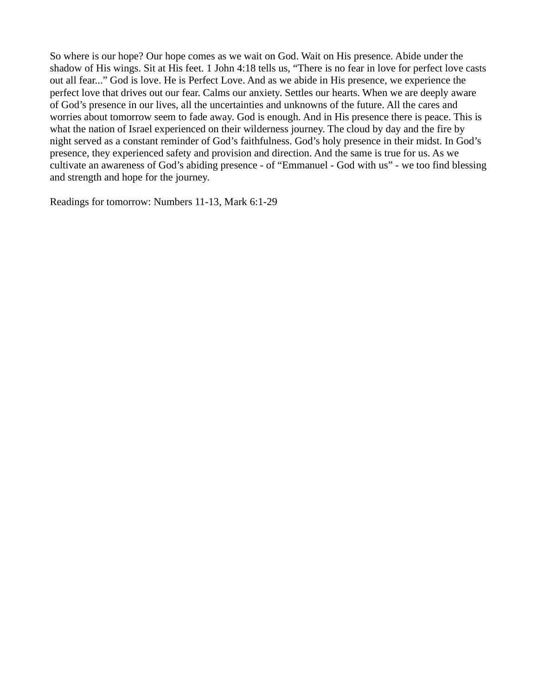So where is our hope? Our hope comes as we wait on God. Wait on His presence. Abide under the shadow of His wings. Sit at His feet. 1 John 4:18 tells us, "There is no fear in love for perfect love casts out all fear..." God is love. He is Perfect Love. And as we abide in His presence, we experience the perfect love that drives out our fear. Calms our anxiety. Settles our hearts. When we are deeply aware of God's presence in our lives, all the uncertainties and unknowns of the future. All the cares and worries about tomorrow seem to fade away. God is enough. And in His presence there is peace. This is what the nation of Israel experienced on their wilderness journey. The cloud by day and the fire by night served as a constant reminder of God's faithfulness. God's holy presence in their midst. In God's presence, they experienced safety and provision and direction. And the same is true for us. As we cultivate an awareness of God's abiding presence - of "Emmanuel - God with us" - we too find blessing and strength and hope for the journey.

Readings for tomorrow: Numbers 11-13, Mark 6:1-29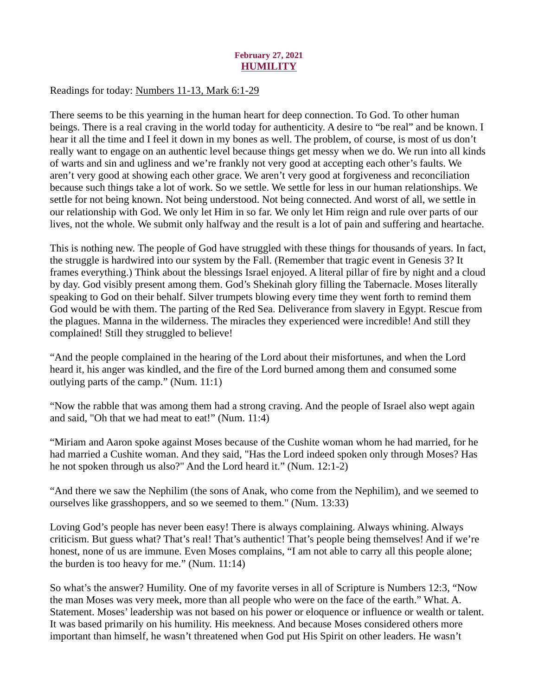# February 27, 2021 **HUMILITY**

## <span id="page-31-0"></span>Readings for today: [Numbers 11-13, Mark 6:1-29](https://www.biblegateway.com/passage/?search=Numbers+11-13%2C+Mark+6%3A1-29&version=ESV)

There seems to be this yearning in the human heart for deep connection. To God. To other human beings. There is a real craving in the world today for authenticity. A desire to "be real" and be known. I hear it all the time and I feel it down in my bones as well. The problem, of course, is most of us don't really want to engage on an authentic level because things get messy when we do. We run into all kinds of warts and sin and ugliness and we're frankly not very good at accepting each other's faults. We aren't very good at showing each other grace. We aren't very good at forgiveness and reconciliation because such things take a lot of work. So we settle. We settle for less in our human relationships. We settle for not being known. Not being understood. Not being connected. And worst of all, we settle in our relationship with God. We only let Him in so far. We only let Him reign and rule over parts of our lives, not the whole. We submit only halfway and the result is a lot of pain and suffering and heartache.

This is nothing new. The people of God have struggled with these things for thousands of years. In fact, the struggle is hardwired into our system by the Fall. (Remember that tragic event in Genesis 3? It frames everything.) Think about the blessings Israel enjoyed. A literal pillar of fire by night and a cloud by day. God visibly present among them. God's Shekinah glory filling the Tabernacle. Moses literally speaking to God on their behalf. Silver trumpets blowing every time they went forth to remind them God would be with them. The parting of the Red Sea. Deliverance from slavery in Egypt. Rescue from the plagues. Manna in the wilderness. The miracles they experienced were incredible! And still they complained! Still they struggled to believe!

"And the people complained in the hearing of the Lord about their misfortunes, and when the Lord heard it, his anger was kindled, and the fire of the Lord burned among them and consumed some outlying parts of the camp." (Num. 11:1)

"Now the rabble that was among them had a strong craving. And the people of Israel also wept again and said, "Oh that we had meat to eat!" (Num. 11:4)

"Miriam and Aaron spoke against Moses because of the Cushite woman whom he had married, for he had married a Cushite woman. And they said, "Has the Lord indeed spoken only through Moses? Has he not spoken through us also?" And the Lord heard it." (Num. 12:1-2)

"And there we saw the Nephilim (the sons of Anak, who come from the Nephilim), and we seemed to ourselves like grasshoppers, and so we seemed to them." (Num. 13:33)

Loving God's people has never been easy! There is always complaining. Always whining. Always criticism. But guess what? That's real! That's authentic! That's people being themselves! And if we're honest, none of us are immune. Even Moses complains, "I am not able to carry all this people alone; the burden is too heavy for me." (Num. 11:14)

So what's the answer? Humility. One of my favorite verses in all of Scripture is Numbers 12:3, "Now the man Moses was very meek, more than all people who were on the face of the earth." What. A. Statement. Moses' leadership was not based on his power or eloquence or influence or wealth or talent. It was based primarily on his humility. His meekness. And because Moses considered others more important than himself, he wasn't threatened when God put His Spirit on other leaders. He wasn't